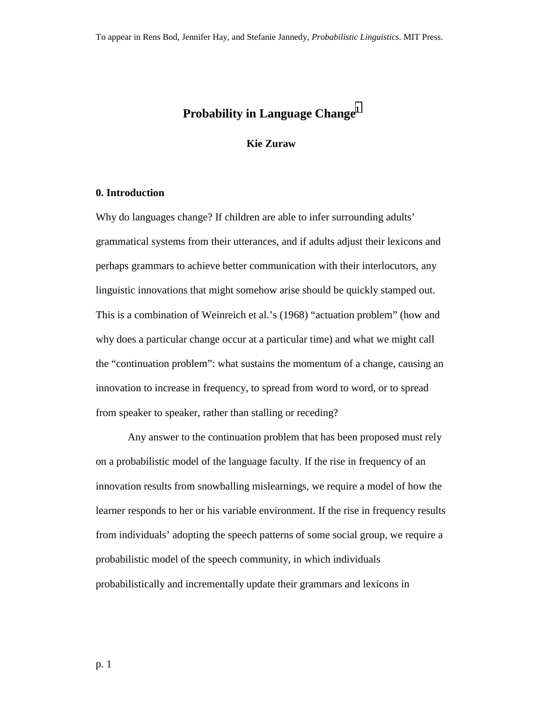# **Probability in Language Chang[e1](#page-70-0)**

#### **Kie Zuraw**

## **0. Introduction**

Why do languages change? If children are able to infer surrounding adults' grammatical systems from their utterances, and if adults adjust their lexicons and perhaps grammars to achieve better communication with their interlocutors, any linguistic innovations that might somehow arise should be quickly stamped out. This is a combination of Weinreich et al.'s (1968) "actuation problem" (how and why does a particular change occur at a particular time) and what we might call the "continuation problem": what sustains the momentum of a change, causing an innovation to increase in frequency, to spread from word to word, or to spread from speaker to speaker, rather than stalling or receding?

 Any answer to the continuation problem that has been proposed must rely on a probabilistic model of the language faculty. If the rise in frequency of an innovation results from snowballing mislearnings, we require a model of how the learner responds to her or his variable environment. If the rise in frequency results from individuals' adopting the speech patterns of some social group, we require a probabilistic model of the speech community, in which individuals probabilistically and incrementally update their grammars and lexicons in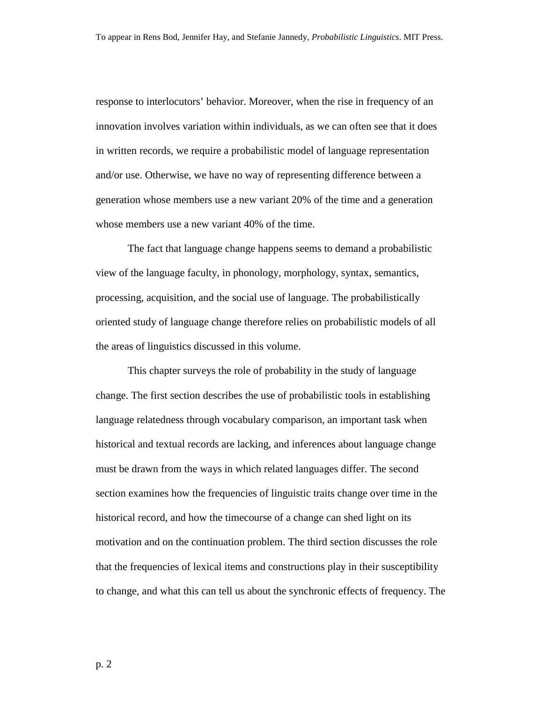response to interlocutors' behavior. Moreover, when the rise in frequency of an innovation involves variation within individuals, as we can often see that it does in written records, we require a probabilistic model of language representation and/or use. Otherwise, we have no way of representing difference between a generation whose members use a new variant 20% of the time and a generation whose members use a new variant 40% of the time.

 The fact that language change happens seems to demand a probabilistic view of the language faculty, in phonology, morphology, syntax, semantics, processing, acquisition, and the social use of language. The probabilistically oriented study of language change therefore relies on probabilistic models of all the areas of linguistics discussed in this volume.

 This chapter surveys the role of probability in the study of language change. The first section describes the use of probabilistic tools in establishing language relatedness through vocabulary comparison, an important task when historical and textual records are lacking, and inferences about language change must be drawn from the ways in which related languages differ. The second section examines how the frequencies of linguistic traits change over time in the historical record, and how the timecourse of a change can shed light on its motivation and on the continuation problem. The third section discusses the role that the frequencies of lexical items and constructions play in their susceptibility to change, and what this can tell us about the synchronic effects of frequency. The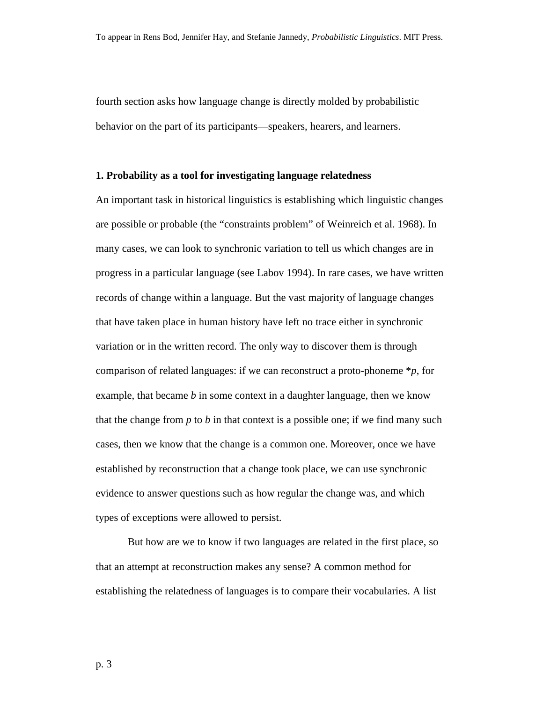fourth section asks how language change is directly molded by probabilistic behavior on the part of its participants—speakers, hearers, and learners.

#### **1. Probability as a tool for investigating language relatedness**

An important task in historical linguistics is establishing which linguistic changes are possible or probable (the "constraints problem" of Weinreich et al. 1968). In many cases, we can look to synchronic variation to tell us which changes are in progress in a particular language (see Labov 1994). In rare cases, we have written records of change within a language. But the vast majority of language changes that have taken place in human history have left no trace either in synchronic variation or in the written record. The only way to discover them is through comparison of related languages: if we can reconstruct a proto-phoneme \**p*, for example, that became *b* in some context in a daughter language, then we know that the change from  $p$  to  $b$  in that context is a possible one; if we find many such cases, then we know that the change is a common one. Moreover, once we have established by reconstruction that a change took place, we can use synchronic evidence to answer questions such as how regular the change was, and which types of exceptions were allowed to persist.

 But how are we to know if two languages are related in the first place, so that an attempt at reconstruction makes any sense? A common method for establishing the relatedness of languages is to compare their vocabularies. A list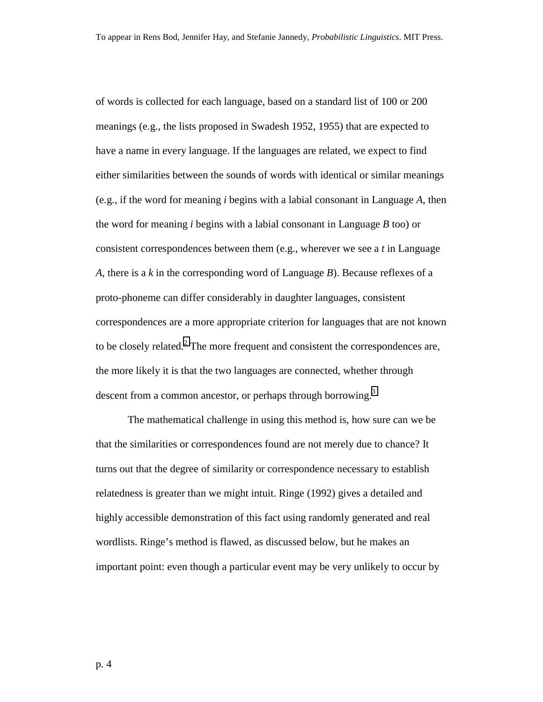of words is collected for each language, based on a standard list of 100 or 200 meanings (e.g., the lists proposed in Swadesh 1952, 1955) that are expected to have a name in every language. If the languages are related, we expect to find either similarities between the sounds of words with identical or similar meanings (e.g., if the word for meaning *i* begins with a labial consonant in Language *A*, then the word for meaning *i* begins with a labial consonant in Language *B* too) or consistent correspondences between them (e.g., wherever we see a *t* in Language *A*, there is a *k* in the corresponding word of Language *B*). Because reflexes of a proto-phoneme can differ considerably in daughter languages, consistent correspondences are a more appropriate criterion for languages that are not known to be closely related. $2$  The more frequent and consistent the correspondences are, the more likely it is that the two languages are connected, whether through descent from a common ancestor, or perhaps through borrowing.<sup>[3](#page-70-0)</sup>

 The mathematical challenge in using this method is, how sure can we be that the similarities or correspondences found are not merely due to chance? It turns out that the degree of similarity or correspondence necessary to establish relatedness is greater than we might intuit. Ringe (1992) gives a detailed and highly accessible demonstration of this fact using randomly generated and real wordlists. Ringe's method is flawed, as discussed below, but he makes an important point: even though a particular event may be very unlikely to occur by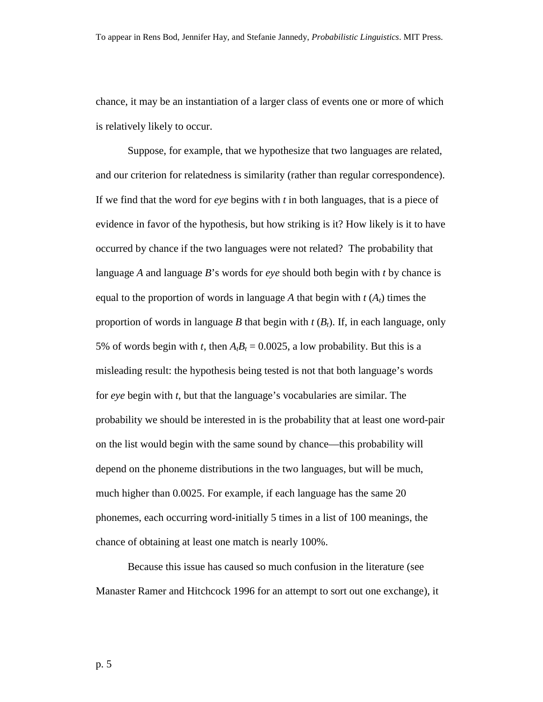chance, it may be an instantiation of a larger class of events one or more of which is relatively likely to occur.

Suppose, for example, that we hypothesize that two languages are related, and our criterion for relatedness is similarity (rather than regular correspondence). If we find that the word for *eye* begins with *t* in both languages, that is a piece of evidence in favor of the hypothesis, but how striking is it? How likely is it to have occurred by chance if the two languages were not related? The probability that language *A* and language *B*'s words for *eye* should both begin with *t* by chance is equal to the proportion of words in language A that begin with  $t(A_t)$  times the proportion of words in language *B* that begin with  $t$  ( $B_t$ ). If, in each language, only 5% of words begin with *t*, then  $A<sub>t</sub>B<sub>t</sub> = 0.0025$ , a low probability. But this is a misleading result: the hypothesis being tested is not that both language's words for *eye* begin with *t*, but that the language's vocabularies are similar. The probability we should be interested in is the probability that at least one word-pair on the list would begin with the same sound by chance—this probability will depend on the phoneme distributions in the two languages, but will be much, much higher than 0.0025. For example, if each language has the same 20 phonemes, each occurring word-initially 5 times in a list of 100 meanings, the chance of obtaining at least one match is nearly 100%.

 Because this issue has caused so much confusion in the literature (see Manaster Ramer and Hitchcock 1996 for an attempt to sort out one exchange), it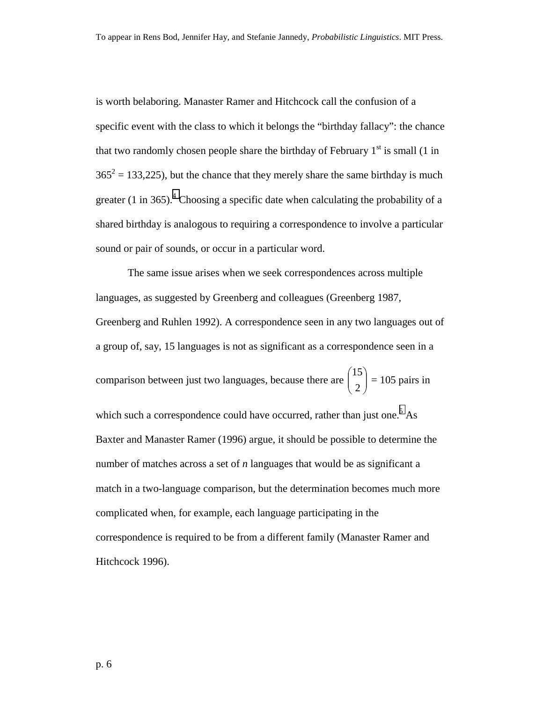is worth belaboring. Manaster Ramer and Hitchcock call the confusion of a specific event with the class to which it belongs the "birthday fallacy": the chance that two randomly chosen people share the birthday of February  $1<sup>st</sup>$  is small (1 in  $365^2 = 133,225$ , but the chance that they merely share the same birthday is much greater (1 in 365).<sup>[4](#page-70-0)</sup> Choosing a specific date when calculating the probability of a shared birthday is analogous to requiring a correspondence to involve a particular sound or pair of sounds, or occur in a particular word.

The same issue arises when we seek correspondences across multiple languages, as suggested by Greenberg and colleagues (Greenberg 1987, Greenberg and Ruhlen 1992). A correspondence seen in any two languages out of a group of, say, 15 languages is not as significant as a correspondence seen in a comparison between just two languages, because there are  $\begin{bmatrix} 1 \\ 2 \end{bmatrix}$ J  $\backslash$  $\overline{\phantom{a}}$  $\setminus$ ſ 2 15  $= 105$  pairs in which such a correspondence could have occurred, rather than just one.<sup>[5](#page-70-0)</sup> As Baxter and Manaster Ramer (1996) argue, it should be possible to determine the number of matches across a set of *n* languages that would be as significant a match in a two-language comparison, but the determination becomes much more complicated when, for example, each language participating in the correspondence is required to be from a different family (Manaster Ramer and Hitchcock 1996).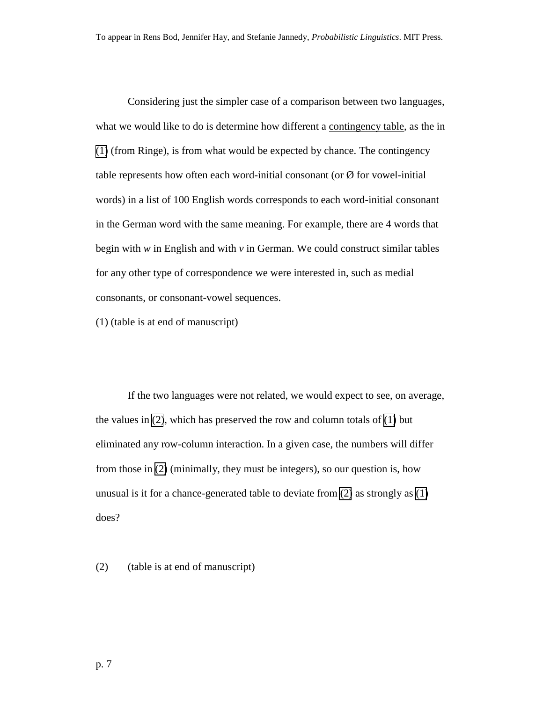<span id="page-6-0"></span> Considering just the simpler case of a comparison between two languages, what we would like to do is determine how different a contingency table, as the in (1) (from Ringe), is from what would be expected by chance. The contingency table represents how often each word-initial consonant (or  $\varnothing$  for vowel-initial words) in a list of 100 English words corresponds to each word-initial consonant in the German word with the same meaning. For example, there are 4 words that begin with *w* in English and with *v* in German. We could construct similar tables for any other type of correspondence we were interested in, such as medial consonants, or consonant-vowel sequences.

(1) (table is at end of manuscript)

 If the two languages were not related, we would expect to see, on average, the values in (2), which has preserved the row and column totals of (1) but eliminated any row-column interaction. In a given case, the numbers will differ from those in (2) (minimally, they must be integers), so our question is, how unusual is it for a chance-generated table to deviate from (2) as strongly as (1) does?

(2) (table is at end of manuscript)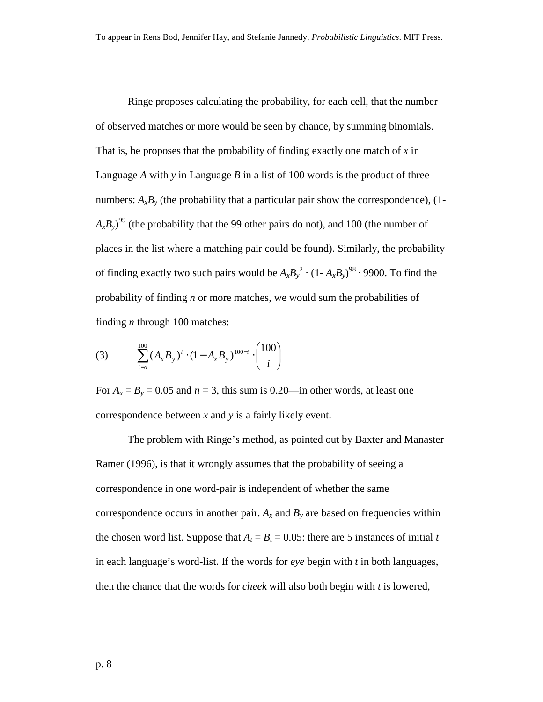<span id="page-7-0"></span> Ringe proposes calculating the probability, for each cell, that the number of observed matches or more would be seen by chance, by summing binomials. That is, he proposes that the probability of finding exactly one match of *x* in Language *A* with *y* in Language *B* in a list of 100 words is the product of three numbers:  $A_xB_y$  (the probability that a particular pair show the correspondence), (1- $(A_x B_y)^{99}$  (the probability that the 99 other pairs do not), and 100 (the number of places in the list where a matching pair could be found). Similarly, the probability of finding exactly two such pairs would be  $A_xB_y^2 \cdot (1 - A_xB_y)^{98} \cdot 9900$ . To find the probability of finding *n* or more matches, we would sum the probabilities of finding *n* through 100 matches:

(3) 
$$
\sum_{i=n}^{100} (A_x B_y)^i \cdot (1 - A_x B_y)^{100-i} \cdot \binom{100}{i}
$$

For  $A_x = B_y = 0.05$  and  $n = 3$ , this sum is 0.20—in other words, at least one correspondence between *x* and *y* is a fairly likely event.

The problem with Ringe's method, as pointed out by Baxter and Manaster Ramer (1996), is that it wrongly assumes that the probability of seeing a correspondence in one word-pair is independent of whether the same correspondence occurs in another pair.  $A_x$  and  $B_y$  are based on frequencies within the chosen word list. Suppose that  $A_t = B_t = 0.05$ : there are 5 instances of initial *t* in each language's word-list. If the words for *eye* begin with *t* in both languages, then the chance that the words for *cheek* will also both begin with *t* is lowered,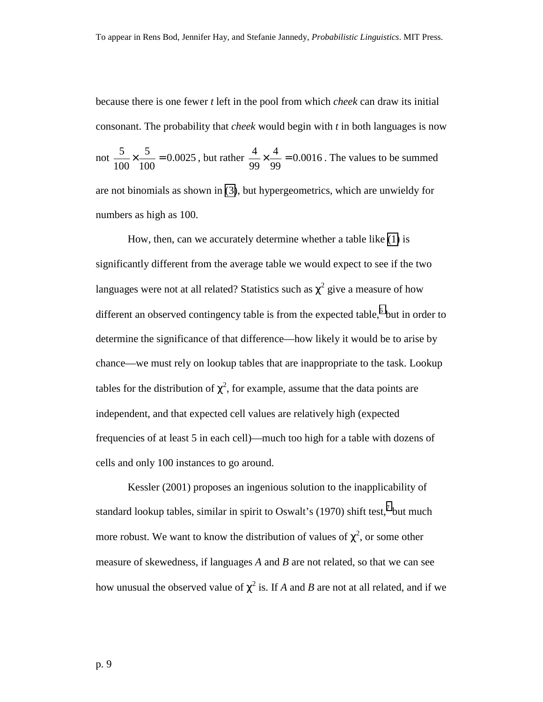because there is one fewer *t* left in the pool from which *cheek* can draw its initial consonant. The probability that *cheek* would begin with *t* in both languages is now

not 
$$
\frac{5}{100} \times \frac{5}{100} = 0.0025
$$
, but rather  $\frac{4}{99} \times \frac{4}{99} = 0.0016$ . The values to be summed

are not binomials as shown in [\(3\)](#page-7-0), but hypergeometrics, which are unwieldy for numbers as high as 100.

How, then, can we accurately determine whether a table like [\(1\)](#page-6-0) is significantly different from the average table we would expect to see if the two languages were not at all related? Statistics such as  $\chi^2$  give a measure of how different an observed contingency table is from the expected table,<sup>[6](#page-70-0)</sup> but in order to determine the significance of that difference—how likely it would be to arise by chance—we must rely on lookup tables that are inappropriate to the task. Lookup tables for the distribution of  $\chi^2$ , for example, assume that the data points are independent, and that expected cell values are relatively high (expected frequencies of at least 5 in each cell)—much too high for a table with dozens of cells and only 100 instances to go around.

Kessler (2001) proposes an ingenious solution to the inapplicability of standard lookup tables, similar in spirit to Oswalt's (19[7](#page-70-0)0) shift test,<sup>7</sup> but much more robust. We want to know the distribution of values of  $\chi^2$ , or some other measure of skewedness, if languages *A* and *B* are not related, so that we can see how unusual the observed value of  $\chi^2$  is. If *A* and *B* are not at all related, and if we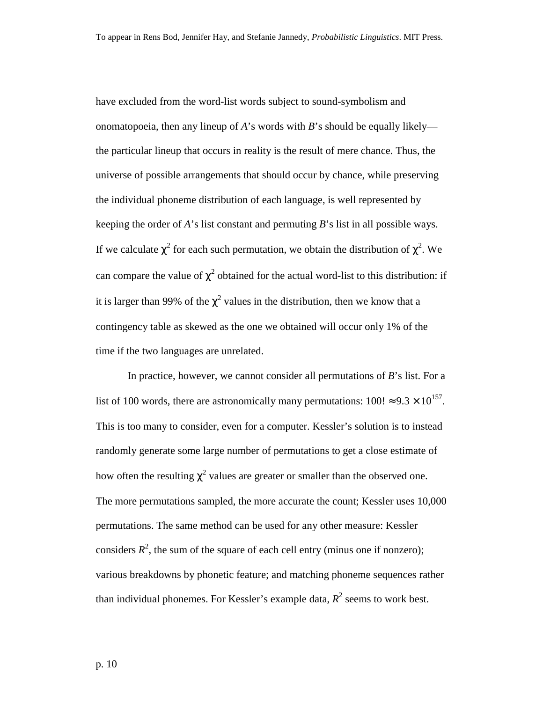have excluded from the word-list words subject to sound-symbolism and onomatopoeia, then any lineup of *A*'s words with *B*'s should be equally likely the particular lineup that occurs in reality is the result of mere chance. Thus, the universe of possible arrangements that should occur by chance, while preserving the individual phoneme distribution of each language, is well represented by keeping the order of *A*'s list constant and permuting *B*'s list in all possible ways. If we calculate  $\chi^2$  for each such permutation, we obtain the distribution of  $\chi^2$ . We can compare the value of  $\chi^2$  obtained for the actual word-list to this distribution: if it is larger than 99% of the  $\chi^2$  values in the distribution, then we know that a contingency table as skewed as the one we obtained will occur only 1% of the time if the two languages are unrelated.

In practice, however, we cannot consider all permutations of *B*'s list. For a list of 100 words, there are astronomically many permutations:  $100! \approx 9.3 \times 10^{157}$ . This is too many to consider, even for a computer. Kessler's solution is to instead randomly generate some large number of permutations to get a close estimate of how often the resulting  $\chi^2$  values are greater or smaller than the observed one. The more permutations sampled, the more accurate the count; Kessler uses 10,000 permutations. The same method can be used for any other measure: Kessler considers  $R^2$ , the sum of the square of each cell entry (minus one if nonzero); various breakdowns by phonetic feature; and matching phoneme sequences rather than individual phonemes. For Kessler's example data,  $R^2$  seems to work best.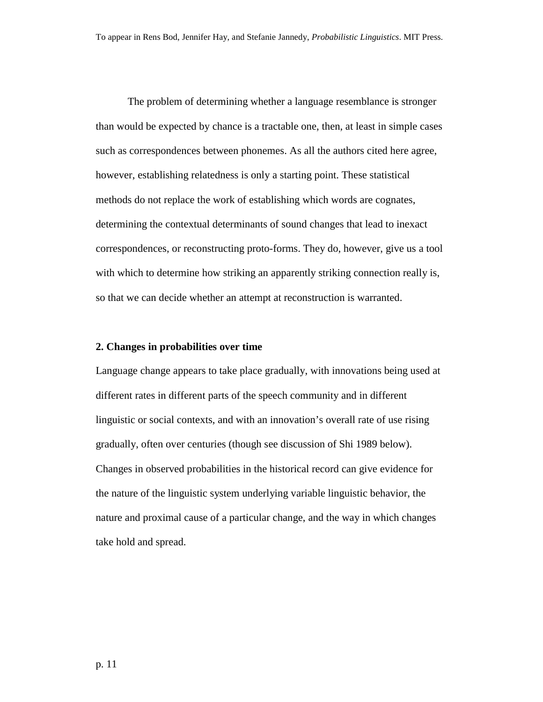The problem of determining whether a language resemblance is stronger than would be expected by chance is a tractable one, then, at least in simple cases such as correspondences between phonemes. As all the authors cited here agree, however, establishing relatedness is only a starting point. These statistical methods do not replace the work of establishing which words are cognates, determining the contextual determinants of sound changes that lead to inexact correspondences, or reconstructing proto-forms. They do, however, give us a tool with which to determine how striking an apparently striking connection really is, so that we can decide whether an attempt at reconstruction is warranted.

#### **2. Changes in probabilities over time**

Language change appears to take place gradually, with innovations being used at different rates in different parts of the speech community and in different linguistic or social contexts, and with an innovation's overall rate of use rising gradually, often over centuries (though see discussion of Shi 1989 below). Changes in observed probabilities in the historical record can give evidence for the nature of the linguistic system underlying variable linguistic behavior, the nature and proximal cause of a particular change, and the way in which changes take hold and spread.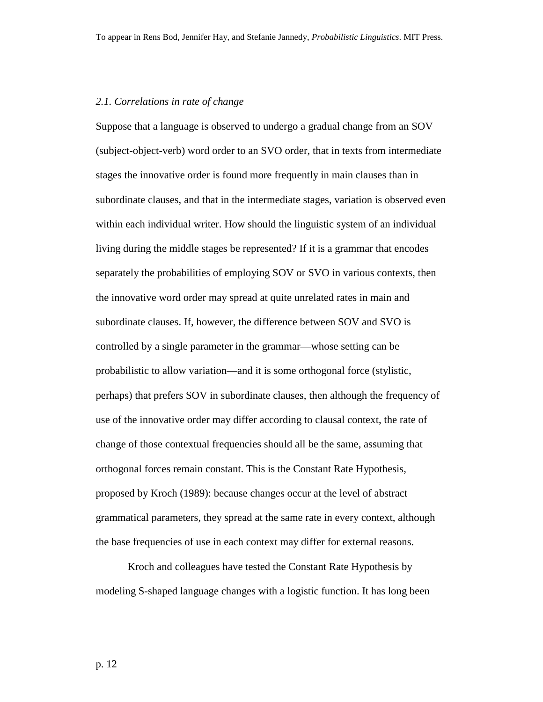#### *2.1. Correlations in rate of change*

Suppose that a language is observed to undergo a gradual change from an SOV (subject-object-verb) word order to an SVO order, that in texts from intermediate stages the innovative order is found more frequently in main clauses than in subordinate clauses, and that in the intermediate stages, variation is observed even within each individual writer. How should the linguistic system of an individual living during the middle stages be represented? If it is a grammar that encodes separately the probabilities of employing SOV or SVO in various contexts, then the innovative word order may spread at quite unrelated rates in main and subordinate clauses. If, however, the difference between SOV and SVO is controlled by a single parameter in the grammar—whose setting can be probabilistic to allow variation—and it is some orthogonal force (stylistic, perhaps) that prefers SOV in subordinate clauses, then although the frequency of use of the innovative order may differ according to clausal context, the rate of change of those contextual frequencies should all be the same, assuming that orthogonal forces remain constant. This is the Constant Rate Hypothesis, proposed by Kroch (1989): because changes occur at the level of abstract grammatical parameters, they spread at the same rate in every context, although the base frequencies of use in each context may differ for external reasons.

 Kroch and colleagues have tested the Constant Rate Hypothesis by modeling S-shaped language changes with a logistic function. It has long been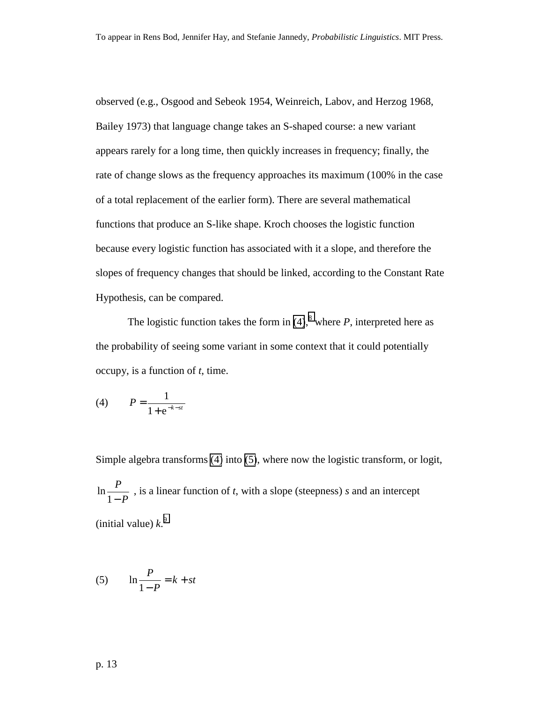observed (e.g., Osgood and Sebeok 1954, Weinreich, Labov, and Herzog 1968, Bailey 1973) that language change takes an S-shaped course: a new variant appears rarely for a long time, then quickly increases in frequency; finally, the rate of change slows as the frequency approaches its maximum (100% in the case of a total replacement of the earlier form). There are several mathematical functions that produce an S-like shape. Kroch chooses the logistic function because every logistic function has associated with it a slope, and therefore the slopes of frequency changes that should be linked, according to the Constant Rate Hypothesis, can be compared.

The logistic function takes the form in  $(4)$ , where *P*, interpreted here as the probability of seeing some variant in some context that it could potentially occupy, is a function of *t*, time.

(4) 
$$
P = \frac{1}{1 + e^{-k - st}}
$$

Simple algebra transforms (4) into (5), where now the logistic transform, or logit, *P*  $\ln \frac{P}{1-P}$ , is a linear function of *t*, with a slope (steepness) *s* and an intercept (initial value)  $k^9$  $k^9$ .

$$
(5) \qquad \ln \frac{P}{1 - P} = k + st
$$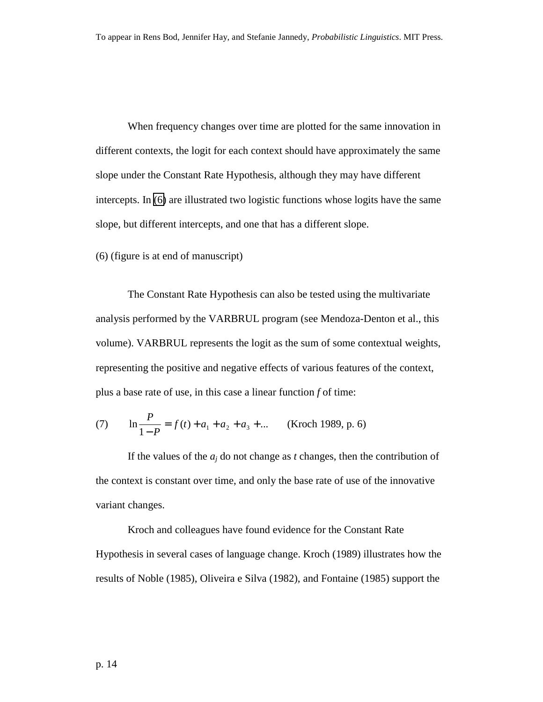<span id="page-13-0"></span>When frequency changes over time are plotted for the same innovation in different contexts, the logit for each context should have approximately the same slope under the Constant Rate Hypothesis, although they may have different intercepts. In (6) are illustrated two logistic functions whose logits have the same slope, but different intercepts, and one that has a different slope.

(6) (figure is at end of manuscript)

 The Constant Rate Hypothesis can also be tested using the multivariate analysis performed by the VARBRUL program (see Mendoza-Denton et al., this volume). VARBRUL represents the logit as the sum of some contextual weights, representing the positive and negative effects of various features of the context, plus a base rate of use, in this case a linear function *f* of time:

(7) 
$$
\ln \frac{P}{1 - P} = f(t) + a_1 + a_2 + a_3 + \dots
$$
 (Kroch 1989, p. 6)

If the values of the *aj* do not change as *t* changes, then the contribution of the context is constant over time, and only the base rate of use of the innovative variant changes.

Kroch and colleagues have found evidence for the Constant Rate Hypothesis in several cases of language change. Kroch (1989) illustrates how the results of Noble (1985), Oliveira e Silva (1982), and Fontaine (1985) support the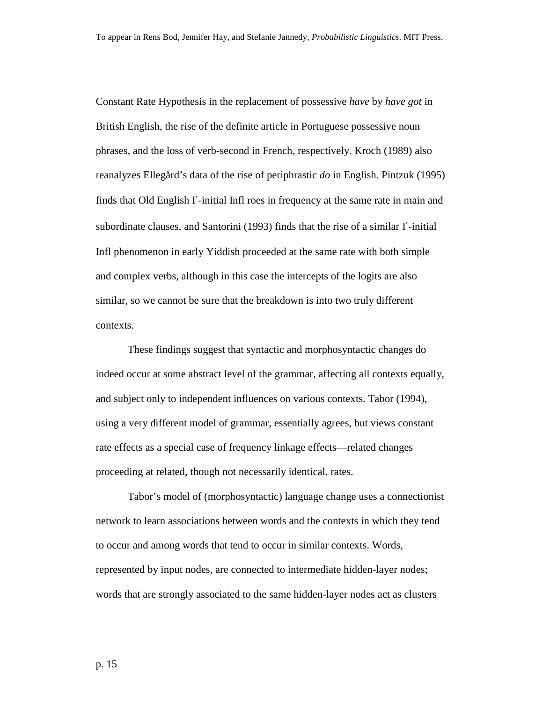Constant Rate Hypothesis in the replacement of possessive *have* by *have got* in British English, the rise of the definite article in Portuguese possessive noun phrases, and the loss of verb-second in French, respectively. Kroch (1989) also reanalyzes Ellegård's data of the rise of periphrastic *do* in English. Pintzuk (1995) finds that Old English I′-initial Infl roes in frequency at the same rate in main and subordinate clauses, and Santorini (1993) finds that the rise of a similar I′-initial Infl phenomenon in early Yiddish proceeded at the same rate with both simple and complex verbs, although in this case the intercepts of the logits are also similar, so we cannot be sure that the breakdown is into two truly different contexts.

These findings suggest that syntactic and morphosyntactic changes do indeed occur at some abstract level of the grammar, affecting all contexts equally, and subject only to independent influences on various contexts. Tabor (1994), using a very different model of grammar, essentially agrees, but views constant rate effects as a special case of frequency linkage effects—related changes proceeding at related, though not necessarily identical, rates.

Tabor's model of (morphosyntactic) language change uses a connectionist network to learn associations between words and the contexts in which they tend to occur and among words that tend to occur in similar contexts. Words, represented by input nodes, are connected to intermediate hidden-layer nodes; words that are strongly associated to the same hidden-layer nodes act as clusters

p. 15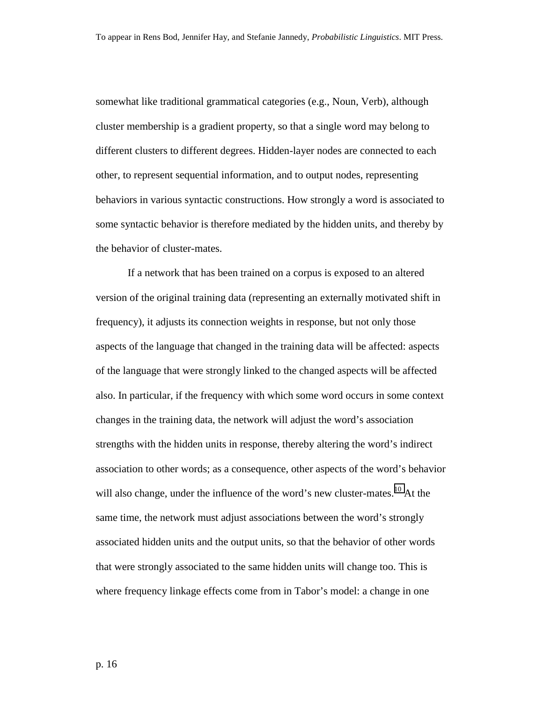somewhat like traditional grammatical categories (e.g., Noun, Verb), although cluster membership is a gradient property, so that a single word may belong to different clusters to different degrees. Hidden-layer nodes are connected to each other, to represent sequential information, and to output nodes, representing behaviors in various syntactic constructions. How strongly a word is associated to some syntactic behavior is therefore mediated by the hidden units, and thereby by the behavior of cluster-mates.

If a network that has been trained on a corpus is exposed to an altered version of the original training data (representing an externally motivated shift in frequency), it adjusts its connection weights in response, but not only those aspects of the language that changed in the training data will be affected: aspects of the language that were strongly linked to the changed aspects will be affected also. In particular, if the frequency with which some word occurs in some context changes in the training data, the network will adjust the word's association strengths with the hidden units in response, thereby altering the word's indirect association to other words; as a consequence, other aspects of the word's behavior will also change, under the influence of the word's new cluster-mates.<sup>10</sup> At the same time, the network must adjust associations between the word's strongly associated hidden units and the output units, so that the behavior of other words that were strongly associated to the same hidden units will change too. This is where frequency linkage effects come from in Tabor's model: a change in one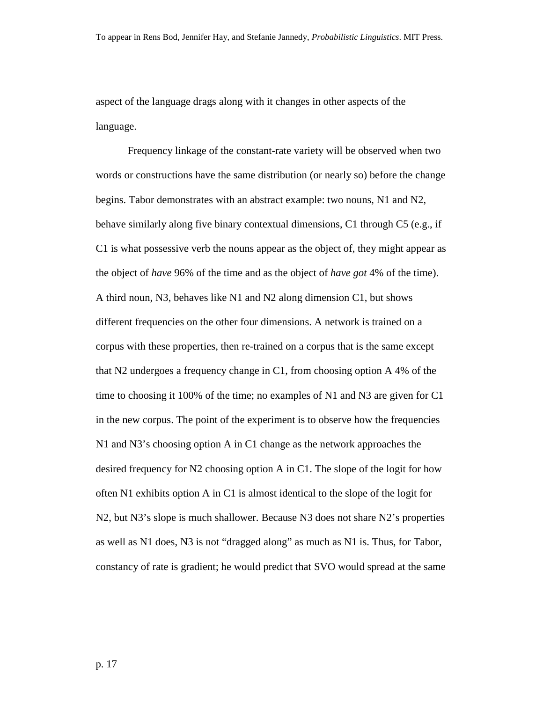aspect of the language drags along with it changes in other aspects of the language.

Frequency linkage of the constant-rate variety will be observed when two words or constructions have the same distribution (or nearly so) before the change begins. Tabor demonstrates with an abstract example: two nouns, N1 and N2, behave similarly along five binary contextual dimensions, C1 through C5 (e.g., if C1 is what possessive verb the nouns appear as the object of, they might appear as the object of *have* 96% of the time and as the object of *have got* 4% of the time). A third noun, N3, behaves like N1 and N2 along dimension C1, but shows different frequencies on the other four dimensions. A network is trained on a corpus with these properties, then re-trained on a corpus that is the same except that N2 undergoes a frequency change in C1, from choosing option A 4% of the time to choosing it 100% of the time; no examples of N1 and N3 are given for C1 in the new corpus. The point of the experiment is to observe how the frequencies N1 and N3's choosing option A in C1 change as the network approaches the desired frequency for N2 choosing option A in C1. The slope of the logit for how often N1 exhibits option A in C1 is almost identical to the slope of the logit for N2, but N3's slope is much shallower. Because N3 does not share N2's properties as well as N1 does, N3 is not "dragged along" as much as N1 is. Thus, for Tabor, constancy of rate is gradient; he would predict that SVO would spread at the same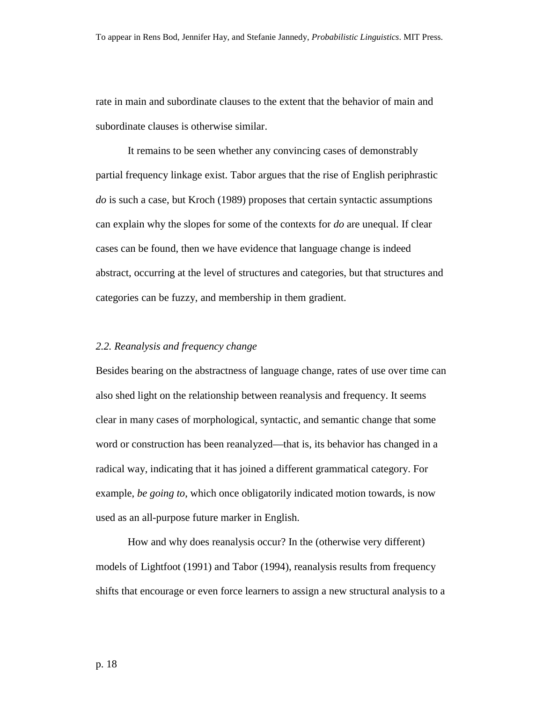rate in main and subordinate clauses to the extent that the behavior of main and subordinate clauses is otherwise similar.

It remains to be seen whether any convincing cases of demonstrably partial frequency linkage exist. Tabor argues that the rise of English periphrastic *do* is such a case, but Kroch (1989) proposes that certain syntactic assumptions can explain why the slopes for some of the contexts for *do* are unequal. If clear cases can be found, then we have evidence that language change is indeed abstract, occurring at the level of structures and categories, but that structures and categories can be fuzzy, and membership in them gradient.

### *2.2. Reanalysis and frequency change*

Besides bearing on the abstractness of language change, rates of use over time can also shed light on the relationship between reanalysis and frequency. It seems clear in many cases of morphological, syntactic, and semantic change that some word or construction has been reanalyzed—that is, its behavior has changed in a radical way, indicating that it has joined a different grammatical category. For example, *be going to*, which once obligatorily indicated motion towards, is now used as an all-purpose future marker in English.

 How and why does reanalysis occur? In the (otherwise very different) models of Lightfoot (1991) and Tabor (1994), reanalysis results from frequency shifts that encourage or even force learners to assign a new structural analysis to a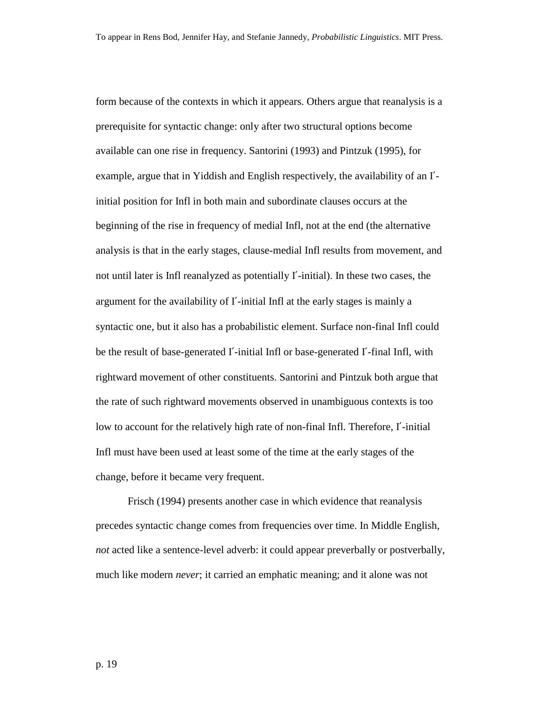form because of the contexts in which it appears. Others argue that reanalysis is a prerequisite for syntactic change: only after two structural options become available can one rise in frequency. Santorini (1993) and Pintzuk (1995), for example, argue that in Yiddish and English respectively, the availability of an I′ initial position for Infl in both main and subordinate clauses occurs at the beginning of the rise in frequency of medial Infl, not at the end (the alternative analysis is that in the early stages, clause-medial Infl results from movement, and not until later is Infl reanalyzed as potentially I′-initial). In these two cases, the argument for the availability of I′-initial Infl at the early stages is mainly a syntactic one, but it also has a probabilistic element. Surface non-final Infl could be the result of base-generated I′-initial Infl or base-generated I′-final Infl, with rightward movement of other constituents. Santorini and Pintzuk both argue that the rate of such rightward movements observed in unambiguous contexts is too low to account for the relatively high rate of non-final Infl. Therefore, I′-initial Infl must have been used at least some of the time at the early stages of the change, before it became very frequent.

Frisch (1994) presents another case in which evidence that reanalysis precedes syntactic change comes from frequencies over time. In Middle English, *not* acted like a sentence-level adverb: it could appear preverbally or postverbally, much like modern *never*; it carried an emphatic meaning; and it alone was not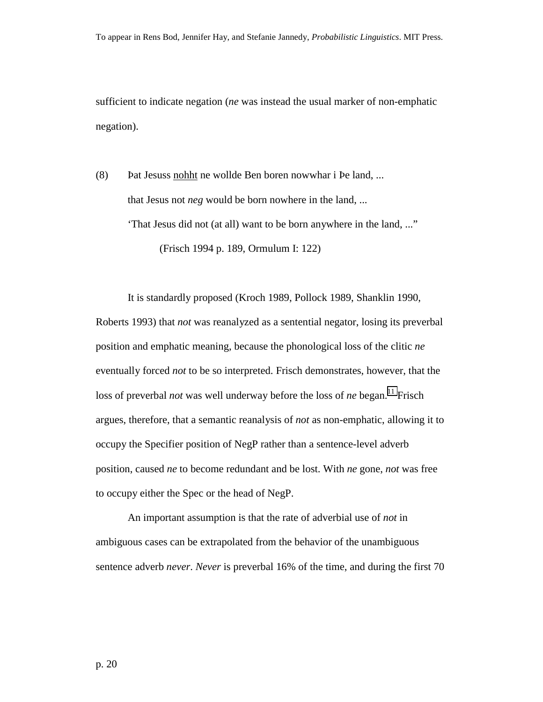sufficient to indicate negation (*ne* was instead the usual marker of non-emphatic negation).

(8) Þat Jesuss nohht ne wollde Ben boren nowwhar i Þe land, ... that Jesus not *neg* would be born nowhere in the land, ... 'That Jesus did not (at all) want to be born anywhere in the land, ..." (Frisch 1994 p. 189, Ormulum I: 122)

It is standardly proposed (Kroch 1989, Pollock 1989, Shanklin 1990, Roberts 1993) that *not* was reanalyzed as a sentential negator, losing its preverbal position and emphatic meaning, because the phonological loss of the clitic *ne* eventually forced *not* to be so interpreted. Frisch demonstrates, however, that the loss of preverbal *not* was well underway before the loss of *ne* began.<sup>11</sup> Frisch argues, therefore, that a semantic reanalysis of *not* as non-emphatic, allowing it to occupy the Specifier position of NegP rather than a sentence-level adverb position, caused *ne* to become redundant and be lost. With *ne* gone, *not* was free to occupy either the Spec or the head of NegP.

An important assumption is that the rate of adverbial use of *not* in ambiguous cases can be extrapolated from the behavior of the unambiguous sentence adverb *never*. *Never* is preverbal 16% of the time, and during the first 70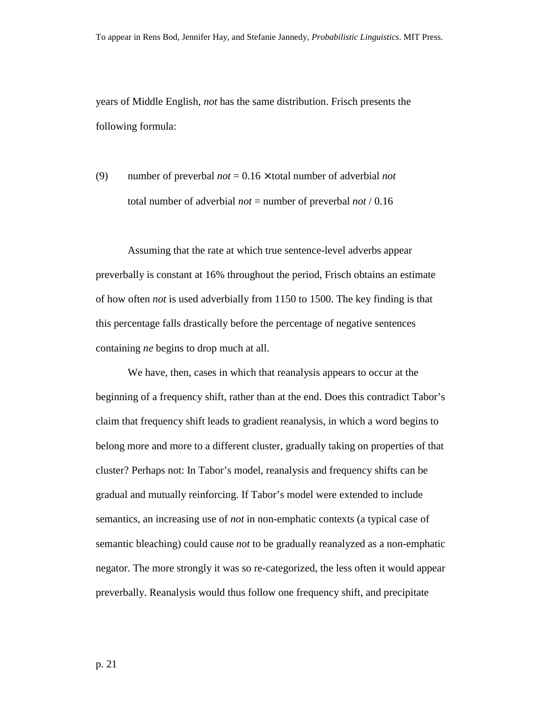years of Middle English, *not* has the same distribution. Frisch presents the following formula:

(9) number of preverbal *not* = 0.16 × total number of adverbial *not*  total number of adverbial *not* = number of preverbal *not* / 0.16

Assuming that the rate at which true sentence-level adverbs appear preverbally is constant at 16% throughout the period, Frisch obtains an estimate of how often *not* is used adverbially from 1150 to 1500. The key finding is that this percentage falls drastically before the percentage of negative sentences containing *ne* begins to drop much at all.

 We have, then, cases in which that reanalysis appears to occur at the beginning of a frequency shift, rather than at the end. Does this contradict Tabor's claim that frequency shift leads to gradient reanalysis, in which a word begins to belong more and more to a different cluster, gradually taking on properties of that cluster? Perhaps not: In Tabor's model, reanalysis and frequency shifts can be gradual and mutually reinforcing. If Tabor's model were extended to include semantics, an increasing use of *not* in non-emphatic contexts (a typical case of semantic bleaching) could cause *not* to be gradually reanalyzed as a non-emphatic negator. The more strongly it was so re-categorized, the less often it would appear preverbally. Reanalysis would thus follow one frequency shift, and precipitate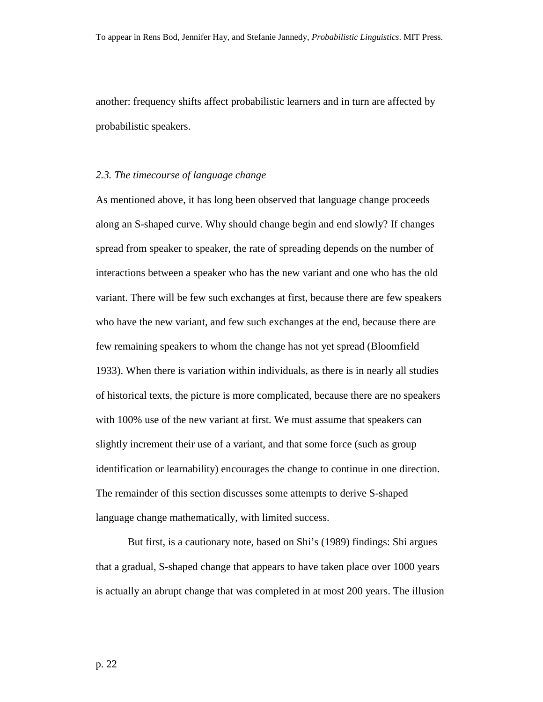another: frequency shifts affect probabilistic learners and in turn are affected by probabilistic speakers.

#### *2.3. The timecourse of language change*

As mentioned above, it has long been observed that language change proceeds along an S-shaped curve. Why should change begin and end slowly? If changes spread from speaker to speaker, the rate of spreading depends on the number of interactions between a speaker who has the new variant and one who has the old variant. There will be few such exchanges at first, because there are few speakers who have the new variant, and few such exchanges at the end, because there are few remaining speakers to whom the change has not yet spread (Bloomfield 1933). When there is variation within individuals, as there is in nearly all studies of historical texts, the picture is more complicated, because there are no speakers with 100% use of the new variant at first. We must assume that speakers can slightly increment their use of a variant, and that some force (such as group identification or learnability) encourages the change to continue in one direction. The remainder of this section discusses some attempts to derive S-shaped language change mathematically, with limited success.

 But first, is a cautionary note, based on Shi's (1989) findings: Shi argues that a gradual, S-shaped change that appears to have taken place over 1000 years is actually an abrupt change that was completed in at most 200 years. The illusion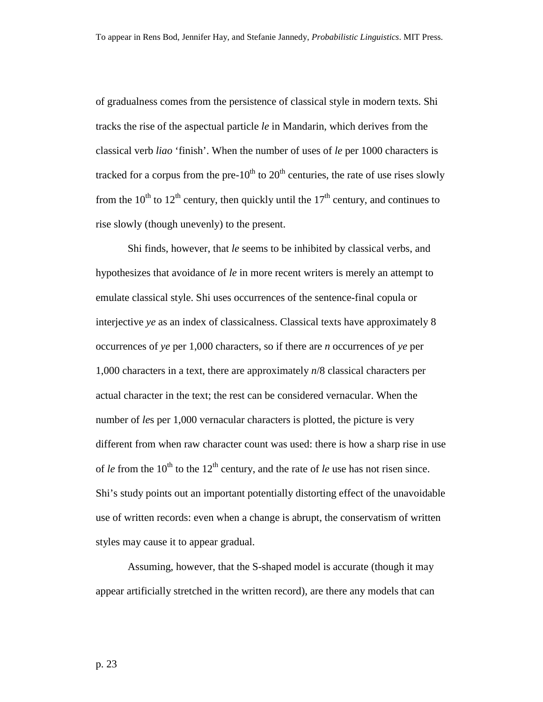of gradualness comes from the persistence of classical style in modern texts. Shi tracks the rise of the aspectual particle *le* in Mandarin, which derives from the classical verb *liao* 'finish'. When the number of uses of *le* per 1000 characters is tracked for a corpus from the pre- $10^{th}$  to  $20^{th}$  centuries, the rate of use rises slowly from the  $10^{th}$  to  $12^{th}$  century, then quickly until the  $17^{th}$  century, and continues to rise slowly (though unevenly) to the present.

Shi finds, however, that *le* seems to be inhibited by classical verbs, and hypothesizes that avoidance of *le* in more recent writers is merely an attempt to emulate classical style. Shi uses occurrences of the sentence-final copula or interjective *ye* as an index of classicalness. Classical texts have approximately 8 occurrences of *ye* per 1,000 characters, so if there are *n* occurrences of *ye* per 1,000 characters in a text, there are approximately *n*/8 classical characters per actual character in the text; the rest can be considered vernacular. When the number of *le*s per 1,000 vernacular characters is plotted, the picture is very different from when raw character count was used: there is how a sharp rise in use of *le* from the  $10^{th}$  to the  $12^{th}$  century, and the rate of *le* use has not risen since. Shi's study points out an important potentially distorting effect of the unavoidable use of written records: even when a change is abrupt, the conservatism of written styles may cause it to appear gradual.

Assuming, however, that the S-shaped model is accurate (though it may appear artificially stretched in the written record), are there any models that can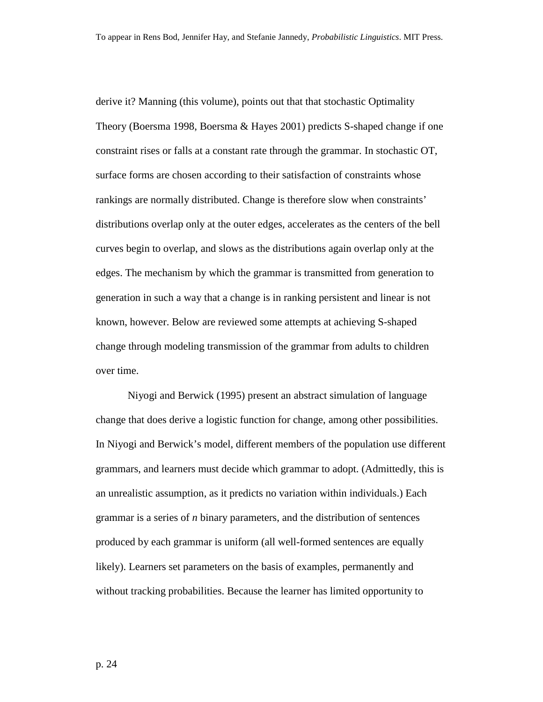derive it? Manning (this volume), points out that that stochastic Optimality Theory (Boersma 1998, Boersma & Hayes 2001) predicts S-shaped change if one constraint rises or falls at a constant rate through the grammar. In stochastic OT, surface forms are chosen according to their satisfaction of constraints whose rankings are normally distributed. Change is therefore slow when constraints' distributions overlap only at the outer edges, accelerates as the centers of the bell curves begin to overlap, and slows as the distributions again overlap only at the edges. The mechanism by which the grammar is transmitted from generation to generation in such a way that a change is in ranking persistent and linear is not known, however. Below are reviewed some attempts at achieving S-shaped change through modeling transmission of the grammar from adults to children over time.

Niyogi and Berwick (1995) present an abstract simulation of language change that does derive a logistic function for change, among other possibilities. In Niyogi and Berwick's model, different members of the population use different grammars, and learners must decide which grammar to adopt. (Admittedly, this is an unrealistic assumption, as it predicts no variation within individuals.) Each grammar is a series of *n* binary parameters, and the distribution of sentences produced by each grammar is uniform (all well-formed sentences are equally likely). Learners set parameters on the basis of examples, permanently and without tracking probabilities. Because the learner has limited opportunity to

p. 24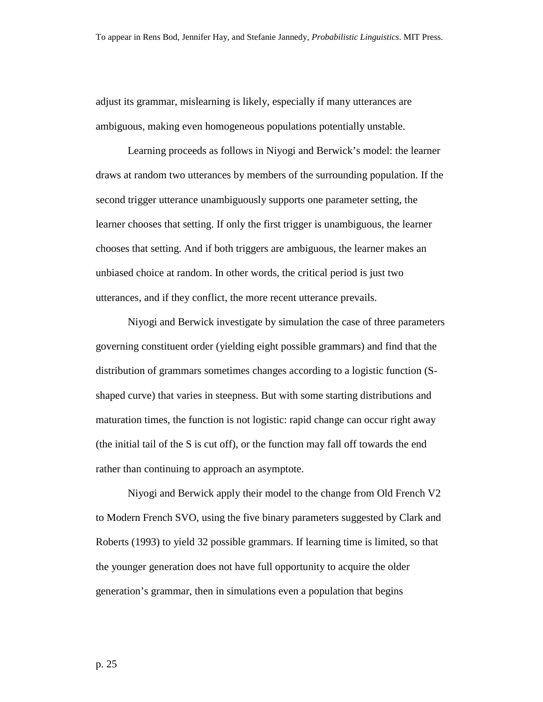adjust its grammar, mislearning is likely, especially if many utterances are ambiguous, making even homogeneous populations potentially unstable.

Learning proceeds as follows in Niyogi and Berwick's model: the learner draws at random two utterances by members of the surrounding population. If the second trigger utterance unambiguously supports one parameter setting, the learner chooses that setting. If only the first trigger is unambiguous, the learner chooses that setting. And if both triggers are ambiguous, the learner makes an unbiased choice at random. In other words, the critical period is just two utterances, and if they conflict, the more recent utterance prevails.

Niyogi and Berwick investigate by simulation the case of three parameters governing constituent order (yielding eight possible grammars) and find that the distribution of grammars sometimes changes according to a logistic function (Sshaped curve) that varies in steepness. But with some starting distributions and maturation times, the function is not logistic: rapid change can occur right away (the initial tail of the S is cut off), or the function may fall off towards the end rather than continuing to approach an asymptote.

Niyogi and Berwick apply their model to the change from Old French V2 to Modern French SVO, using the five binary parameters suggested by Clark and Roberts (1993) to yield 32 possible grammars. If learning time is limited, so that the younger generation does not have full opportunity to acquire the older generation's grammar, then in simulations even a population that begins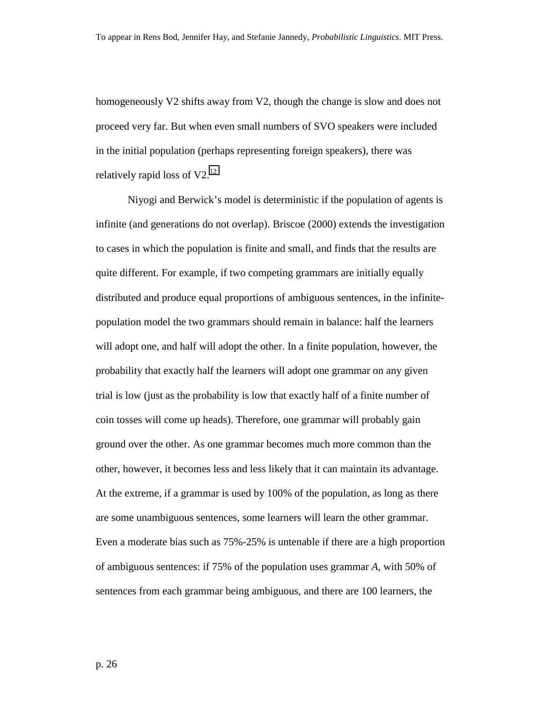homogeneously V2 shifts away from V2, though the change is slow and does not proceed very far. But when even small numbers of SVO speakers were included in the initial population (perhaps representing foreign speakers), there was relatively rapid loss of  $V2<sup>12</sup>$  $V2<sup>12</sup>$  $V2<sup>12</sup>$ 

Niyogi and Berwick's model is deterministic if the population of agents is infinite (and generations do not overlap). Briscoe (2000) extends the investigation to cases in which the population is finite and small, and finds that the results are quite different. For example, if two competing grammars are initially equally distributed and produce equal proportions of ambiguous sentences, in the infinitepopulation model the two grammars should remain in balance: half the learners will adopt one, and half will adopt the other. In a finite population, however, the probability that exactly half the learners will adopt one grammar on any given trial is low (just as the probability is low that exactly half of a finite number of coin tosses will come up heads). Therefore, one grammar will probably gain ground over the other. As one grammar becomes much more common than the other, however, it becomes less and less likely that it can maintain its advantage. At the extreme, if a grammar is used by 100% of the population, as long as there are some unambiguous sentences, some learners will learn the other grammar. Even a moderate bias such as 75%-25% is untenable if there are a high proportion of ambiguous sentences: if 75% of the population uses grammar *A*, with 50% of sentences from each grammar being ambiguous, and there are 100 learners, the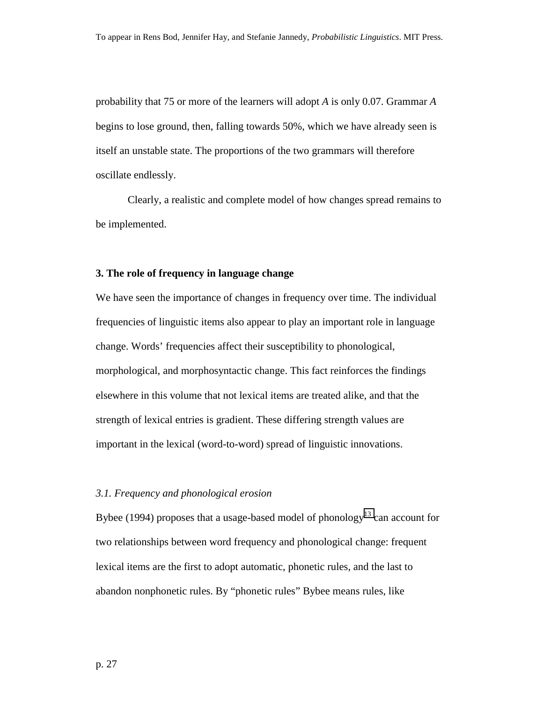probability that 75 or more of the learners will adopt *A* is only 0.07. Grammar *A* begins to lose ground, then, falling towards 50%, which we have already seen is itself an unstable state. The proportions of the two grammars will therefore oscillate endlessly.

Clearly, a realistic and complete model of how changes spread remains to be implemented.

#### **3. The role of frequency in language change**

We have seen the importance of changes in frequency over time. The individual frequencies of linguistic items also appear to play an important role in language change. Words' frequencies affect their susceptibility to phonological, morphological, and morphosyntactic change. This fact reinforces the findings elsewhere in this volume that not lexical items are treated alike, and that the strength of lexical entries is gradient. These differing strength values are important in the lexical (word-to-word) spread of linguistic innovations.

#### *3.1. Frequency and phonological erosion*

Bybee (1994) proposes that a usage-based model of phonology<sup>13</sup> can account for two relationships between word frequency and phonological change: frequent lexical items are the first to adopt automatic, phonetic rules, and the last to abandon nonphonetic rules. By "phonetic rules" Bybee means rules, like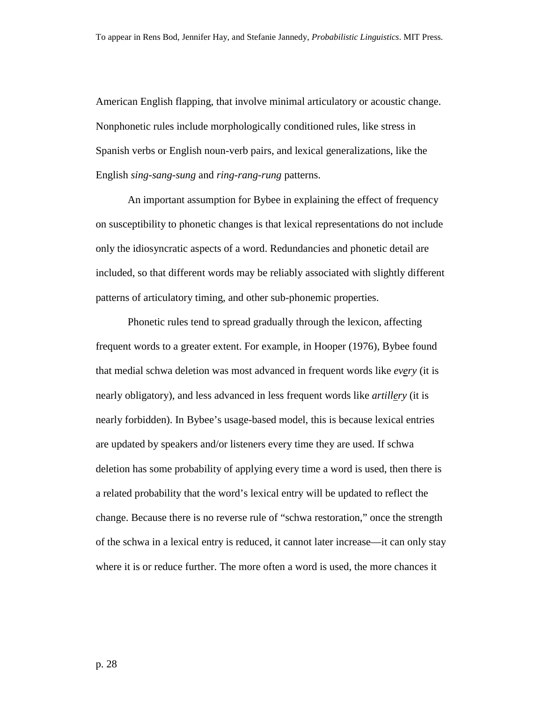American English flapping, that involve minimal articulatory or acoustic change. Nonphonetic rules include morphologically conditioned rules, like stress in Spanish verbs or English noun-verb pairs, and lexical generalizations, like the English *sing-sang-sung* and *ring-rang-rung* patterns.

An important assumption for Bybee in explaining the effect of frequency on susceptibility to phonetic changes is that lexical representations do not include only the idiosyncratic aspects of a word. Redundancies and phonetic detail are included, so that different words may be reliably associated with slightly different patterns of articulatory timing, and other sub-phonemic properties.

Phonetic rules tend to spread gradually through the lexicon, affecting frequent words to a greater extent. For example, in Hooper (1976), Bybee found that medial schwa deletion was most advanced in frequent words like *every* (it is nearly obligatory), and less advanced in less frequent words like *artillery* (it is nearly forbidden). In Bybee's usage-based model, this is because lexical entries are updated by speakers and/or listeners every time they are used. If schwa deletion has some probability of applying every time a word is used, then there is a related probability that the word's lexical entry will be updated to reflect the change. Because there is no reverse rule of "schwa restoration," once the strength of the schwa in a lexical entry is reduced, it cannot later increase—it can only stay where it is or reduce further. The more often a word is used, the more chances it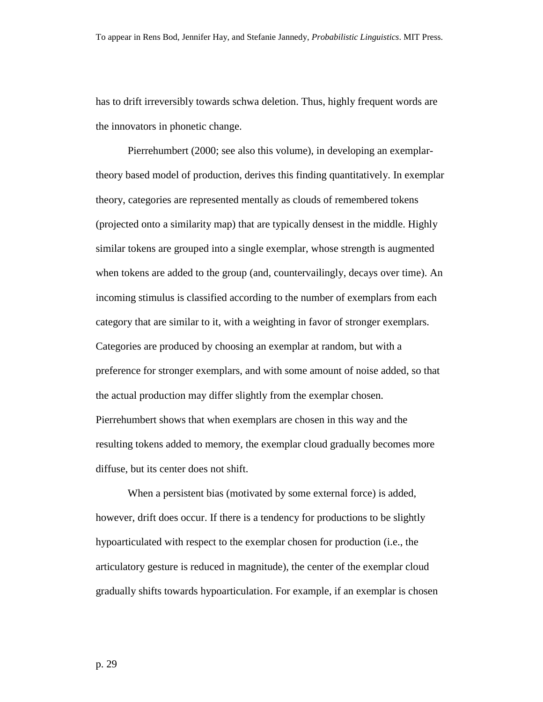has to drift irreversibly towards schwa deletion. Thus, highly frequent words are the innovators in phonetic change.

Pierrehumbert (2000; see also this volume), in developing an exemplartheory based model of production, derives this finding quantitatively. In exemplar theory, categories are represented mentally as clouds of remembered tokens (projected onto a similarity map) that are typically densest in the middle. Highly similar tokens are grouped into a single exemplar, whose strength is augmented when tokens are added to the group (and, countervailingly, decays over time). An incoming stimulus is classified according to the number of exemplars from each category that are similar to it, with a weighting in favor of stronger exemplars. Categories are produced by choosing an exemplar at random, but with a preference for stronger exemplars, and with some amount of noise added, so that the actual production may differ slightly from the exemplar chosen. Pierrehumbert shows that when exemplars are chosen in this way and the resulting tokens added to memory, the exemplar cloud gradually becomes more diffuse, but its center does not shift.

When a persistent bias (motivated by some external force) is added, however, drift does occur. If there is a tendency for productions to be slightly hypoarticulated with respect to the exemplar chosen for production (i.e., the articulatory gesture is reduced in magnitude), the center of the exemplar cloud gradually shifts towards hypoarticulation. For example, if an exemplar is chosen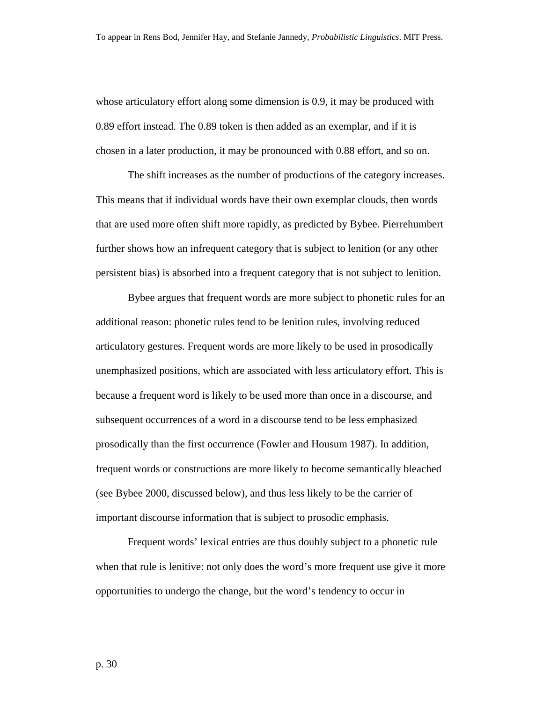whose articulatory effort along some dimension is 0.9, it may be produced with 0.89 effort instead. The 0.89 token is then added as an exemplar, and if it is chosen in a later production, it may be pronounced with 0.88 effort, and so on.

The shift increases as the number of productions of the category increases. This means that if individual words have their own exemplar clouds, then words that are used more often shift more rapidly, as predicted by Bybee. Pierrehumbert further shows how an infrequent category that is subject to lenition (or any other persistent bias) is absorbed into a frequent category that is not subject to lenition.

Bybee argues that frequent words are more subject to phonetic rules for an additional reason: phonetic rules tend to be lenition rules, involving reduced articulatory gestures. Frequent words are more likely to be used in prosodically unemphasized positions, which are associated with less articulatory effort. This is because a frequent word is likely to be used more than once in a discourse, and subsequent occurrences of a word in a discourse tend to be less emphasized prosodically than the first occurrence (Fowler and Housum 1987). In addition, frequent words or constructions are more likely to become semantically bleached (see Bybee 2000, discussed below), and thus less likely to be the carrier of important discourse information that is subject to prosodic emphasis.

Frequent words' lexical entries are thus doubly subject to a phonetic rule when that rule is lenitive: not only does the word's more frequent use give it more opportunities to undergo the change, but the word's tendency to occur in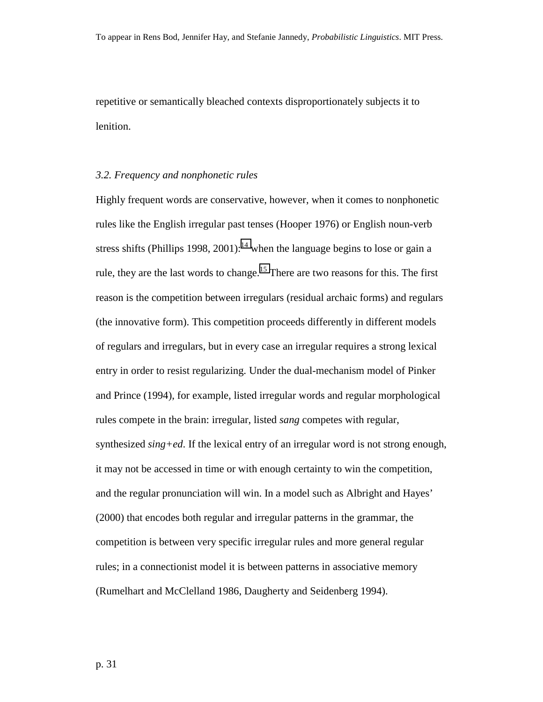repetitive or semantically bleached contexts disproportionately subjects it to lenition.

#### *3.2. Frequency and nonphonetic rules*

Highly frequent words are conservative, however, when it comes to nonphonetic rules like the English irregular past tenses (Hooper 1976) or English noun-verb stress shifts (Phillips 1998, 2001):<sup>14</sup> when the language begins to lose or gain a rule, they are the last words to change.<sup>15</sup> There are two reasons for this. The first reason is the competition between irregulars (residual archaic forms) and regulars (the innovative form). This competition proceeds differently in different models of regulars and irregulars, but in every case an irregular requires a strong lexical entry in order to resist regularizing. Under the dual-mechanism model of Pinker and Prince (1994), for example, listed irregular words and regular morphological rules compete in the brain: irregular, listed *sang* competes with regular, synthesized *sing+ed*. If the lexical entry of an irregular word is not strong enough, it may not be accessed in time or with enough certainty to win the competition, and the regular pronunciation will win. In a model such as Albright and Hayes' (2000) that encodes both regular and irregular patterns in the grammar, the competition is between very specific irregular rules and more general regular rules; in a connectionist model it is between patterns in associative memory (Rumelhart and McClelland 1986, Daugherty and Seidenberg 1994).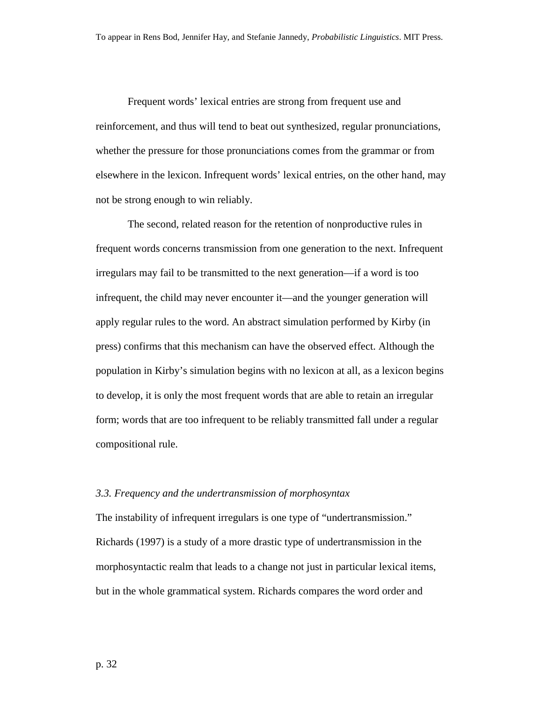Frequent words' lexical entries are strong from frequent use and reinforcement, and thus will tend to beat out synthesized, regular pronunciations, whether the pressure for those pronunciations comes from the grammar or from elsewhere in the lexicon. Infrequent words' lexical entries, on the other hand, may not be strong enough to win reliably.

The second, related reason for the retention of nonproductive rules in frequent words concerns transmission from one generation to the next. Infrequent irregulars may fail to be transmitted to the next generation—if a word is too infrequent, the child may never encounter it—and the younger generation will apply regular rules to the word. An abstract simulation performed by Kirby (in press) confirms that this mechanism can have the observed effect. Although the population in Kirby's simulation begins with no lexicon at all, as a lexicon begins to develop, it is only the most frequent words that are able to retain an irregular form; words that are too infrequent to be reliably transmitted fall under a regular compositional rule.

#### *3.3. Frequency and the undertransmission of morphosyntax*

The instability of infrequent irregulars is one type of "undertransmission." Richards (1997) is a study of a more drastic type of undertransmission in the morphosyntactic realm that leads to a change not just in particular lexical items, but in the whole grammatical system. Richards compares the word order and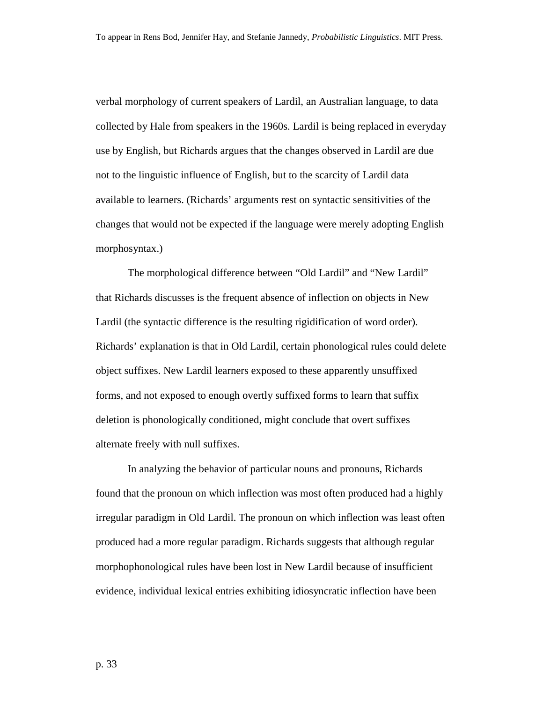verbal morphology of current speakers of Lardil, an Australian language, to data collected by Hale from speakers in the 1960s. Lardil is being replaced in everyday use by English, but Richards argues that the changes observed in Lardil are due not to the linguistic influence of English, but to the scarcity of Lardil data available to learners. (Richards' arguments rest on syntactic sensitivities of the changes that would not be expected if the language were merely adopting English morphosyntax.)

The morphological difference between "Old Lardil" and "New Lardil" that Richards discusses is the frequent absence of inflection on objects in New Lardil (the syntactic difference is the resulting rigidification of word order). Richards' explanation is that in Old Lardil, certain phonological rules could delete object suffixes. New Lardil learners exposed to these apparently unsuffixed forms, and not exposed to enough overtly suffixed forms to learn that suffix deletion is phonologically conditioned, might conclude that overt suffixes alternate freely with null suffixes.

In analyzing the behavior of particular nouns and pronouns, Richards found that the pronoun on which inflection was most often produced had a highly irregular paradigm in Old Lardil. The pronoun on which inflection was least often produced had a more regular paradigm. Richards suggests that although regular morphophonological rules have been lost in New Lardil because of insufficient evidence, individual lexical entries exhibiting idiosyncratic inflection have been

p. 33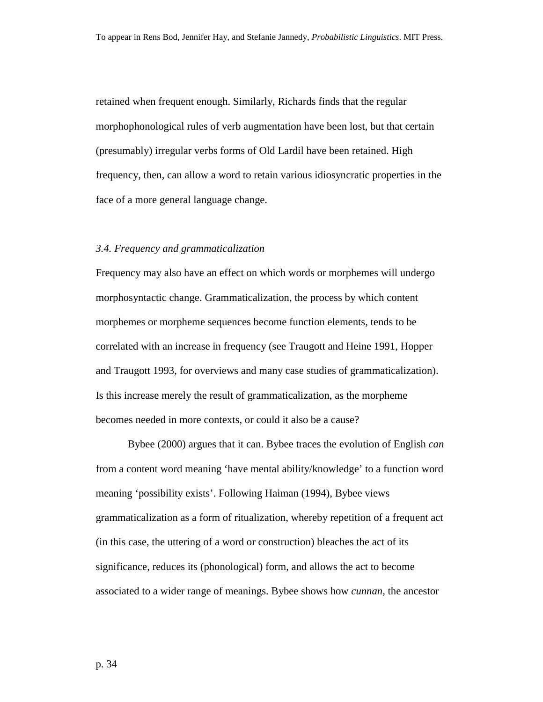retained when frequent enough. Similarly, Richards finds that the regular morphophonological rules of verb augmentation have been lost, but that certain (presumably) irregular verbs forms of Old Lardil have been retained. High frequency, then, can allow a word to retain various idiosyncratic properties in the face of a more general language change.

#### *3.4. Frequency and grammaticalization*

Frequency may also have an effect on which words or morphemes will undergo morphosyntactic change. Grammaticalization, the process by which content morphemes or morpheme sequences become function elements, tends to be correlated with an increase in frequency (see Traugott and Heine 1991, Hopper and Traugott 1993, for overviews and many case studies of grammaticalization). Is this increase merely the result of grammaticalization, as the morpheme becomes needed in more contexts, or could it also be a cause?

 Bybee (2000) argues that it can. Bybee traces the evolution of English *can* from a content word meaning 'have mental ability/knowledge' to a function word meaning 'possibility exists'. Following Haiman (1994), Bybee views grammaticalization as a form of ritualization, whereby repetition of a frequent act (in this case, the uttering of a word or construction) bleaches the act of its significance, reduces its (phonological) form, and allows the act to become associated to a wider range of meanings. Bybee shows how *cunnan*, the ancestor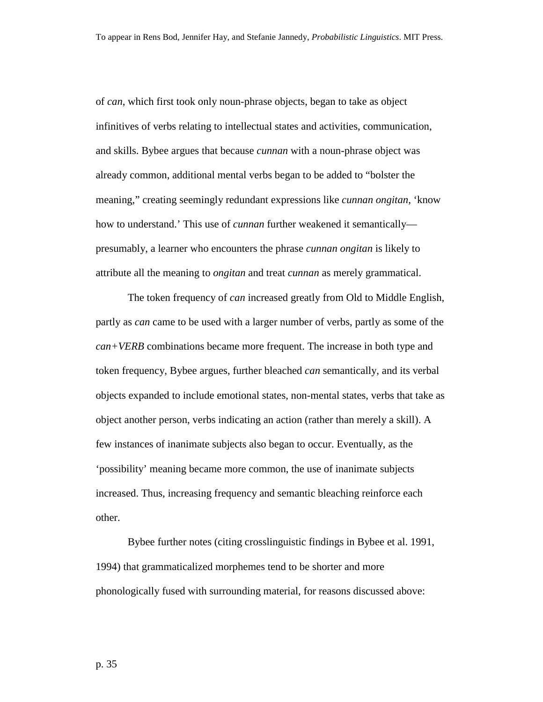of *can*, which first took only noun-phrase objects, began to take as object infinitives of verbs relating to intellectual states and activities, communication, and skills. Bybee argues that because *cunnan* with a noun-phrase object was already common, additional mental verbs began to be added to "bolster the meaning," creating seemingly redundant expressions like *cunnan ongitan*, 'know how to understand.' This use of *cunnan* further weakened it semantically presumably, a learner who encounters the phrase *cunnan ongitan* is likely to attribute all the meaning to *ongitan* and treat *cunnan* as merely grammatical.

The token frequency of *can* increased greatly from Old to Middle English, partly as *can* came to be used with a larger number of verbs, partly as some of the *can+VERB* combinations became more frequent. The increase in both type and token frequency, Bybee argues, further bleached *can* semantically, and its verbal objects expanded to include emotional states, non-mental states, verbs that take as object another person, verbs indicating an action (rather than merely a skill). A few instances of inanimate subjects also began to occur. Eventually, as the 'possibility' meaning became more common, the use of inanimate subjects increased. Thus, increasing frequency and semantic bleaching reinforce each other.

Bybee further notes (citing crosslinguistic findings in Bybee et al. 1991, 1994) that grammaticalized morphemes tend to be shorter and more phonologically fused with surrounding material, for reasons discussed above: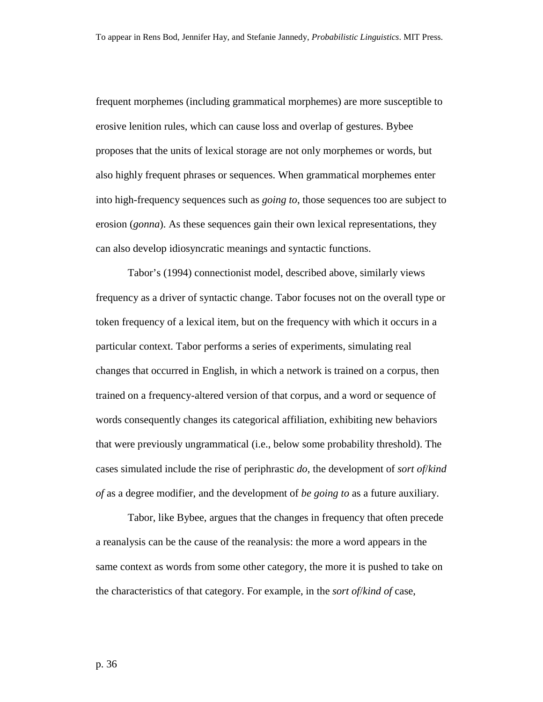frequent morphemes (including grammatical morphemes) are more susceptible to erosive lenition rules, which can cause loss and overlap of gestures. Bybee proposes that the units of lexical storage are not only morphemes or words, but also highly frequent phrases or sequences. When grammatical morphemes enter into high-frequency sequences such as *going to*, those sequences too are subject to erosion (*gonna*). As these sequences gain their own lexical representations, they can also develop idiosyncratic meanings and syntactic functions.

Tabor's (1994) connectionist model, described above, similarly views frequency as a driver of syntactic change. Tabor focuses not on the overall type or token frequency of a lexical item, but on the frequency with which it occurs in a particular context. Tabor performs a series of experiments, simulating real changes that occurred in English, in which a network is trained on a corpus, then trained on a frequency-altered version of that corpus, and a word or sequence of words consequently changes its categorical affiliation, exhibiting new behaviors that were previously ungrammatical (i.e., below some probability threshold). The cases simulated include the rise of periphrastic *do*, the development of *sort of*/*kind of* as a degree modifier, and the development of *be going to* as a future auxiliary.

 Tabor, like Bybee, argues that the changes in frequency that often precede a reanalysis can be the cause of the reanalysis: the more a word appears in the same context as words from some other category, the more it is pushed to take on the characteristics of that category. For example, in the *sort of*/*kind of* case,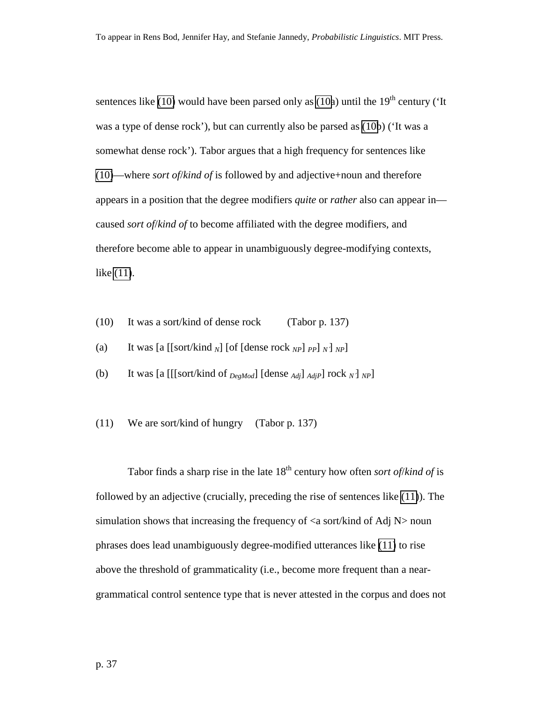sentences like (10) would have been parsed only as (10a) until the  $19<sup>th</sup>$  century ('It was a type of dense rock'), but can currently also be parsed as (10b) ('It was a somewhat dense rock'). Tabor argues that a high frequency for sentences like (10)—where *sort of*/*kind of* is followed by and adjective+noun and therefore appears in a position that the degree modifiers *quite* or *rather* also can appear in caused *sort of*/*kind of* to become affiliated with the degree modifiers, and therefore become able to appear in unambiguously degree-modifying contexts, like (11).

- (10) It was a sort/kind of dense rock (Tabor p. 137)
- (a) It was  $\left[ \text{a } \left[ \left[ \text{sort/kind }_{N} \right] \right] \text{ of } \left[ \text{dense rock }_{NP} \right] \text{ }_{PP} \right] \text{ }_{N} \right]$
- (b) It was [a  $[[\text{sort/kind of }_{DegMod}]$  [dense  $_{Adj}]_{AdjP}$ ] rock  $_N$ ]  $_{NP}$ ]
- (11) We are sort/kind of hungry (Tabor p. 137)

Tabor finds a sharp rise in the late 18th century how often *sort of*/*kind of* is followed by an adjective (crucially, preceding the rise of sentences like (11)). The simulation shows that increasing the frequency of  $\langle a \rangle$  sort/kind of Adj N $>$  noun phrases does lead unambiguously degree-modified utterances like (11) to rise above the threshold of grammaticality (i.e., become more frequent than a neargrammatical control sentence type that is never attested in the corpus and does not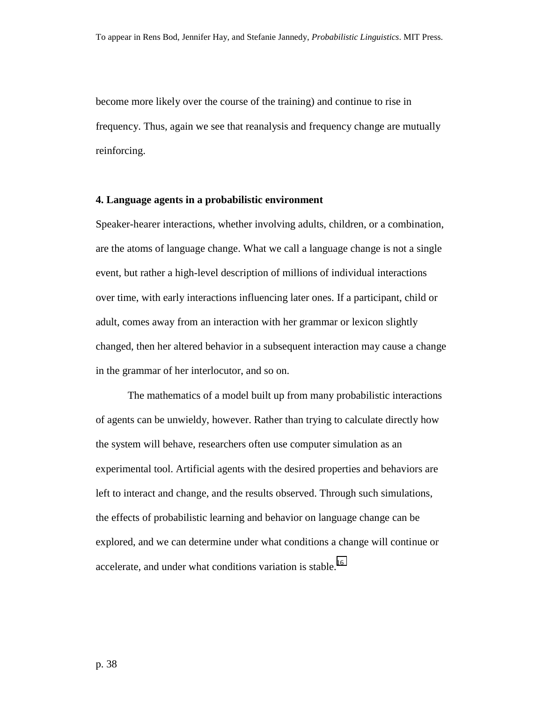become more likely over the course of the training) and continue to rise in frequency. Thus, again we see that reanalysis and frequency change are mutually reinforcing.

#### **4. Language agents in a probabilistic environment**

Speaker-hearer interactions, whether involving adults, children, or a combination, are the atoms of language change. What we call a language change is not a single event, but rather a high-level description of millions of individual interactions over time, with early interactions influencing later ones. If a participant, child or adult, comes away from an interaction with her grammar or lexicon slightly changed, then her altered behavior in a subsequent interaction may cause a change in the grammar of her interlocutor, and so on.

The mathematics of a model built up from many probabilistic interactions of agents can be unwieldy, however. Rather than trying to calculate directly how the system will behave, researchers often use computer simulation as an experimental tool. Artificial agents with the desired properties and behaviors are left to interact and change, and the results observed. Through such simulations, the effects of probabilistic learning and behavior on language change can be explored, and we can determine under what conditions a change will continue or accelerate, and under what conditions variation is stable.<sup>[16](#page-70-0)</sup>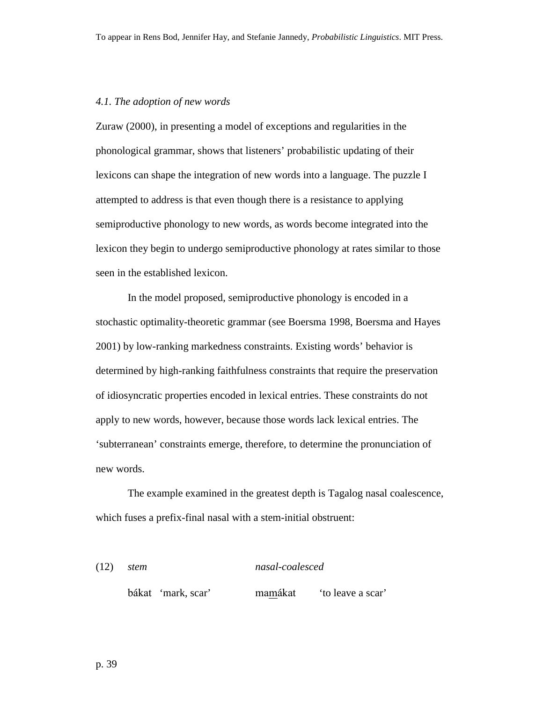#### *4.1. The adoption of new words*

Zuraw (2000), in presenting a model of exceptions and regularities in the phonological grammar, shows that listeners' probabilistic updating of their lexicons can shape the integration of new words into a language. The puzzle I attempted to address is that even though there is a resistance to applying semiproductive phonology to new words, as words become integrated into the lexicon they begin to undergo semiproductive phonology at rates similar to those seen in the established lexicon.

In the model proposed, semiproductive phonology is encoded in a stochastic optimality-theoretic grammar (see Boersma 1998, Boersma and Hayes 2001) by low-ranking markedness constraints. Existing words' behavior is determined by high-ranking faithfulness constraints that require the preservation of idiosyncratic properties encoded in lexical entries. These constraints do not apply to new words, however, because those words lack lexical entries. The 'subterranean' constraints emerge, therefore, to determine the pronunciation of new words.

The example examined in the greatest depth is Tagalog nasal coalescence, which fuses a prefix-final nasal with a stem-initial obstruent:

(12) *stem nasal-coalesced* 

bákat 'mark, scar' mamákat 'to leave a scar'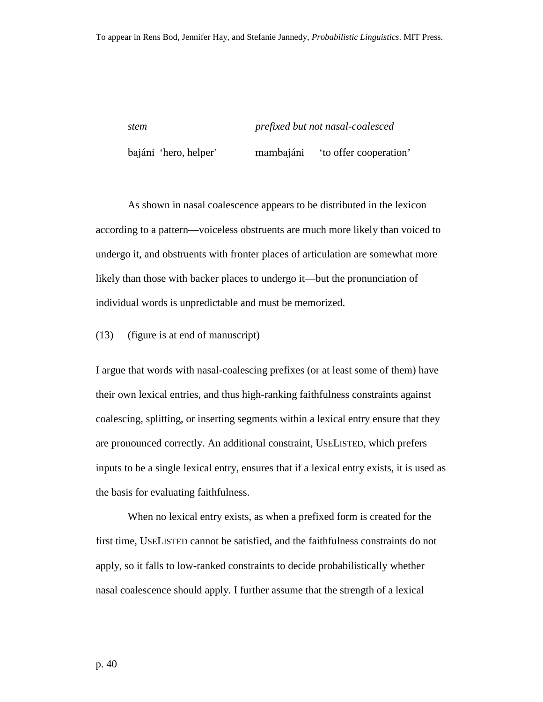<span id="page-39-0"></span>*stem prefixed but not nasal-coalesced*  bajáni 'hero, helper' mambajáni 'to offer cooperation'

As shown in nasal coalescence appears to be distributed in the lexicon according to a pattern—voiceless obstruents are much more likely than voiced to undergo it, and obstruents with fronter places of articulation are somewhat more likely than those with backer places to undergo it—but the pronunciation of individual words is unpredictable and must be memorized.

(13) (figure is at end of manuscript)

I argue that words with nasal-coalescing prefixes (or at least some of them) have their own lexical entries, and thus high-ranking faithfulness constraints against coalescing, splitting, or inserting segments within a lexical entry ensure that they are pronounced correctly. An additional constraint, USELISTED, which prefers inputs to be a single lexical entry, ensures that if a lexical entry exists, it is used as the basis for evaluating faithfulness.

When no lexical entry exists, as when a prefixed form is created for the first time, USELISTED cannot be satisfied, and the faithfulness constraints do not apply, so it falls to low-ranked constraints to decide probabilistically whether nasal coalescence should apply. I further assume that the strength of a lexical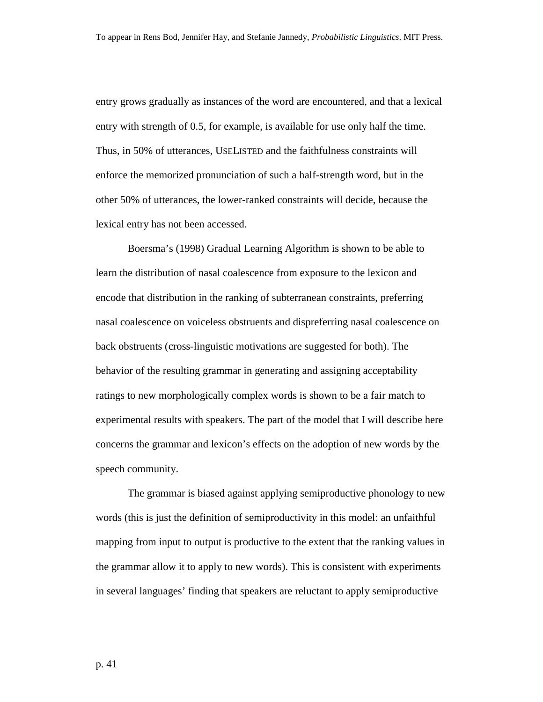entry grows gradually as instances of the word are encountered, and that a lexical entry with strength of 0.5, for example, is available for use only half the time. Thus, in 50% of utterances, USELISTED and the faithfulness constraints will enforce the memorized pronunciation of such a half-strength word, but in the other 50% of utterances, the lower-ranked constraints will decide, because the lexical entry has not been accessed.

Boersma's (1998) Gradual Learning Algorithm is shown to be able to learn the distribution of nasal coalescence from exposure to the lexicon and encode that distribution in the ranking of subterranean constraints, preferring nasal coalescence on voiceless obstruents and dispreferring nasal coalescence on back obstruents (cross-linguistic motivations are suggested for both). The behavior of the resulting grammar in generating and assigning acceptability ratings to new morphologically complex words is shown to be a fair match to experimental results with speakers. The part of the model that I will describe here concerns the grammar and lexicon's effects on the adoption of new words by the speech community.

The grammar is biased against applying semiproductive phonology to new words (this is just the definition of semiproductivity in this model: an unfaithful mapping from input to output is productive to the extent that the ranking values in the grammar allow it to apply to new words). This is consistent with experiments in several languages' finding that speakers are reluctant to apply semiproductive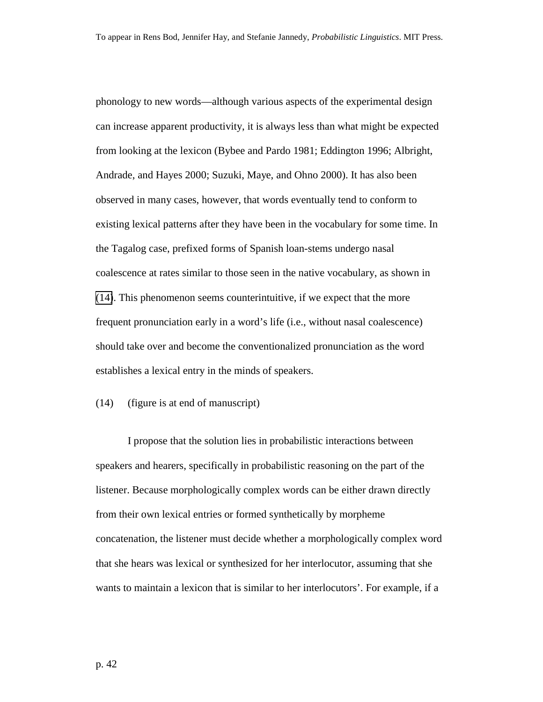<span id="page-41-0"></span>phonology to new words—although various aspects of the experimental design can increase apparent productivity, it is always less than what might be expected from looking at the lexicon (Bybee and Pardo 1981; Eddington 1996; Albright, Andrade, and Hayes 2000; Suzuki, Maye, and Ohno 2000). It has also been observed in many cases, however, that words eventually tend to conform to existing lexical patterns after they have been in the vocabulary for some time. In the Tagalog case, prefixed forms of Spanish loan-stems undergo nasal coalescence at rates similar to those seen in the native vocabulary, as shown in (14). This phenomenon seems counterintuitive, if we expect that the more frequent pronunciation early in a word's life (i.e., without nasal coalescence) should take over and become the conventionalized pronunciation as the word establishes a lexical entry in the minds of speakers.

#### (14) (figure is at end of manuscript)

I propose that the solution lies in probabilistic interactions between speakers and hearers, specifically in probabilistic reasoning on the part of the listener. Because morphologically complex words can be either drawn directly from their own lexical entries or formed synthetically by morpheme concatenation, the listener must decide whether a morphologically complex word that she hears was lexical or synthesized for her interlocutor, assuming that she wants to maintain a lexicon that is similar to her interlocutors'. For example, if a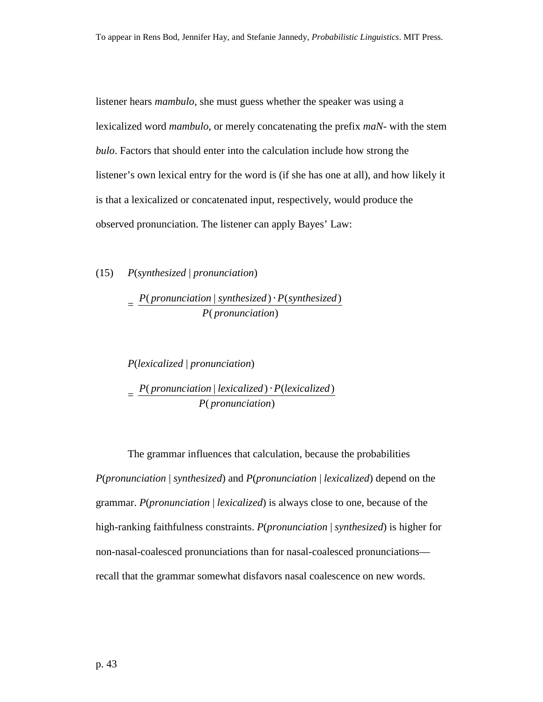listener hears *mambulo*, she must guess whether the speaker was using a lexicalized word *mambulo*, or merely concatenating the prefix *maN-* with the stem *bulo*. Factors that should enter into the calculation include how strong the listener's own lexical entry for the word is (if she has one at all), and how likely it is that a lexicalized or concatenated input, respectively, would produce the observed pronunciation. The listener can apply Bayes' Law:

(15) *P*(*synthesized* | *pronunciation*)

= (*pronunciation*)  $($  pronunciation  $|$  synthesized $) \cdot P$ (synthesized) *P pronunciation P pronunciation synthesized* ⋅ *P synthesized*

*P*(*lexicalized* | *pronunciation*) = (*pronunciation*)  $($  pronunciation  $|$  lexicalized $)$   $\cdot$   $P$ (lexicalized) *P pronunciation P pronunciation lexicalized* ⋅ *P lexicalized*

The grammar influences that calculation, because the probabilities *P*(*pronunciation* | *synthesized*) and *P*(*pronunciation* | *lexicalized*) depend on the grammar. *P*(*pronunciation* | *lexicalized*) is always close to one, because of the high-ranking faithfulness constraints. *P*(*pronunciation* | *synthesized*) is higher for non-nasal-coalesced pronunciations than for nasal-coalesced pronunciations recall that the grammar somewhat disfavors nasal coalescence on new words.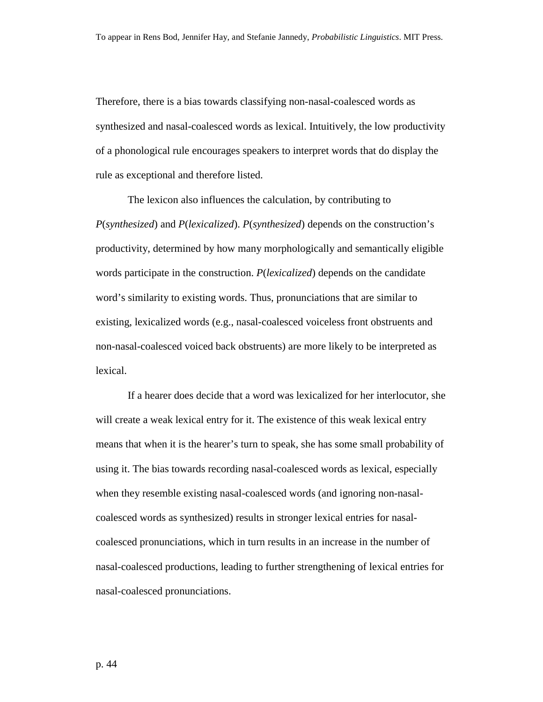Therefore, there is a bias towards classifying non-nasal-coalesced words as synthesized and nasal-coalesced words as lexical. Intuitively, the low productivity of a phonological rule encourages speakers to interpret words that do display the rule as exceptional and therefore listed.

The lexicon also influences the calculation, by contributing to *P*(*synthesized*) and *P*(*lexicalized*). *P*(*synthesized*) depends on the construction's productivity, determined by how many morphologically and semantically eligible words participate in the construction. *P*(*lexicalized*) depends on the candidate word's similarity to existing words. Thus, pronunciations that are similar to existing, lexicalized words (e.g., nasal-coalesced voiceless front obstruents and non-nasal-coalesced voiced back obstruents) are more likely to be interpreted as lexical.

If a hearer does decide that a word was lexicalized for her interlocutor, she will create a weak lexical entry for it. The existence of this weak lexical entry means that when it is the hearer's turn to speak, she has some small probability of using it. The bias towards recording nasal-coalesced words as lexical, especially when they resemble existing nasal-coalesced words (and ignoring non-nasalcoalesced words as synthesized) results in stronger lexical entries for nasalcoalesced pronunciations, which in turn results in an increase in the number of nasal-coalesced productions, leading to further strengthening of lexical entries for nasal-coalesced pronunciations.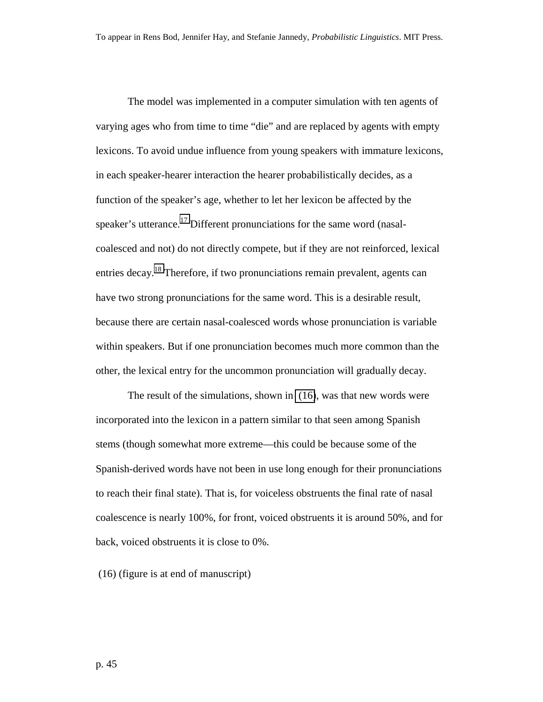<span id="page-44-0"></span>The model was implemented in a computer simulation with ten agents of varying ages who from time to time "die" and are replaced by agents with empty lexicons. To avoid undue influence from young speakers with immature lexicons, in each speaker-hearer interaction the hearer probabilistically decides, as a function of the speaker's age, whether to let her lexicon be affected by the speaker's utterance.<sup>17</sup> Different pronunciations for the same word (nasalcoalesced and not) do not directly compete, but if they are not reinforced, lexical entries decay.<sup>18</sup> Therefore, if two pronunciations remain prevalent, agents can have two strong pronunciations for the same word. This is a desirable result, because there are certain nasal-coalesced words whose pronunciation is variable within speakers. But if one pronunciation becomes much more common than the other, the lexical entry for the uncommon pronunciation will gradually decay.

The result of the simulations, shown in (16), was that new words were incorporated into the lexicon in a pattern similar to that seen among Spanish stems (though somewhat more extreme—this could be because some of the Spanish-derived words have not been in use long enough for their pronunciations to reach their final state). That is, for voiceless obstruents the final rate of nasal coalescence is nearly 100%, for front, voiced obstruents it is around 50%, and for back, voiced obstruents it is close to 0%.

(16) (figure is at end of manuscript)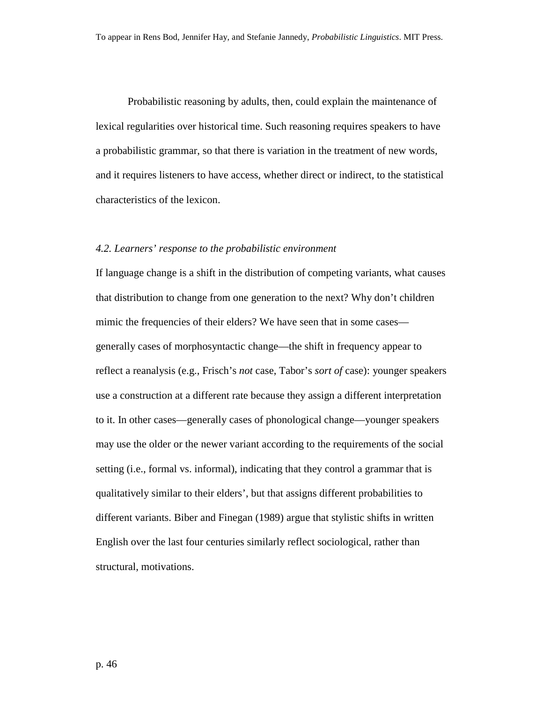Probabilistic reasoning by adults, then, could explain the maintenance of lexical regularities over historical time. Such reasoning requires speakers to have a probabilistic grammar, so that there is variation in the treatment of new words, and it requires listeners to have access, whether direct or indirect, to the statistical characteristics of the lexicon.

#### *4.2. Learners' response to the probabilistic environment*

If language change is a shift in the distribution of competing variants, what causes that distribution to change from one generation to the next? Why don't children mimic the frequencies of their elders? We have seen that in some cases generally cases of morphosyntactic change—the shift in frequency appear to reflect a reanalysis (e.g., Frisch's *not* case, Tabor's *sort of* case): younger speakers use a construction at a different rate because they assign a different interpretation to it. In other cases—generally cases of phonological change—younger speakers may use the older or the newer variant according to the requirements of the social setting (i.e., formal vs. informal), indicating that they control a grammar that is qualitatively similar to their elders', but that assigns different probabilities to different variants. Biber and Finegan (1989) argue that stylistic shifts in written English over the last four centuries similarly reflect sociological, rather than structural, motivations.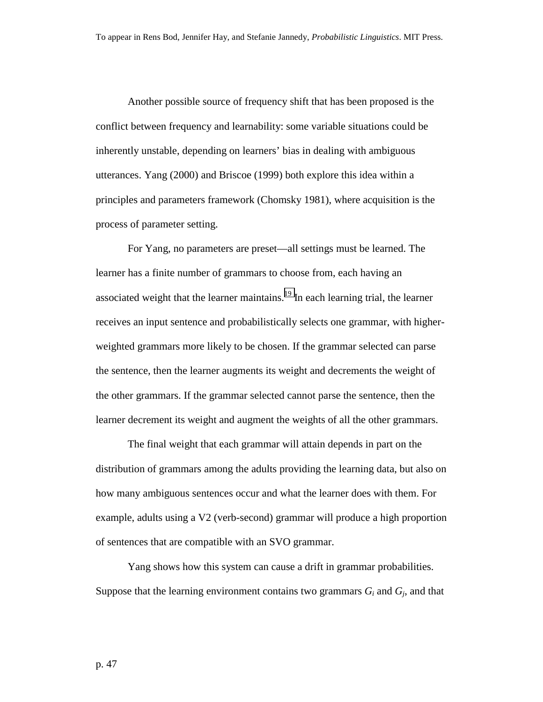Another possible source of frequency shift that has been proposed is the conflict between frequency and learnability: some variable situations could be inherently unstable, depending on learners' bias in dealing with ambiguous utterances. Yang (2000) and Briscoe (1999) both explore this idea within a principles and parameters framework (Chomsky 1981), where acquisition is the process of parameter setting.

 For Yang, no parameters are preset—all settings must be learned. The learner has a finite number of grammars to choose from, each having an associated weight that the learner maintains.<sup>19</sup> In each learning trial, the learner receives an input sentence and probabilistically selects one grammar, with higherweighted grammars more likely to be chosen. If the grammar selected can parse the sentence, then the learner augments its weight and decrements the weight of the other grammars. If the grammar selected cannot parse the sentence, then the learner decrement its weight and augment the weights of all the other grammars.

 The final weight that each grammar will attain depends in part on the distribution of grammars among the adults providing the learning data, but also on how many ambiguous sentences occur and what the learner does with them. For example, adults using a V2 (verb-second) grammar will produce a high proportion of sentences that are compatible with an SVO grammar.

Yang shows how this system can cause a drift in grammar probabilities. Suppose that the learning environment contains two grammars  $G_i$  and  $G_j$ , and that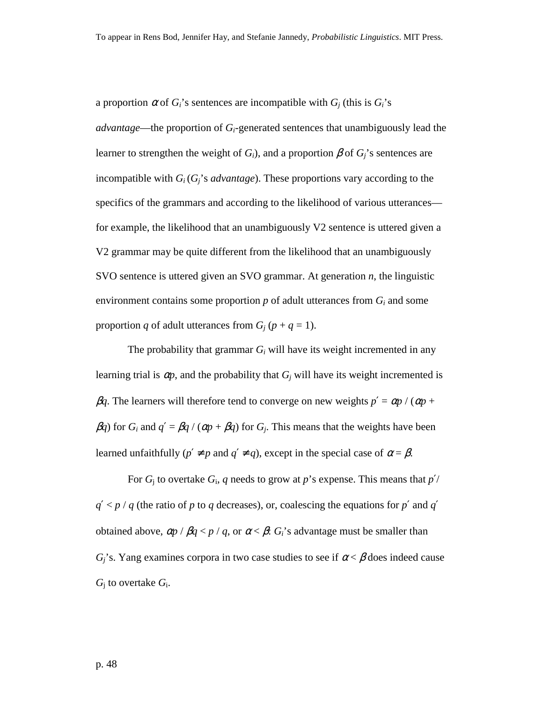a proportion  $\alpha$  of  $G_i$ 's sentences are incompatible with  $G_i$  (this is  $G_i$ 's *advantage*—the proportion of *Gi*-generated sentences that unambiguously lead the learner to strengthen the weight of  $G_i$ ), and a proportion  $\beta$  of  $G_i$ 's sentences are incompatible with *Gi* (*Gj*'s *advantage*). These proportions vary according to the specifics of the grammars and according to the likelihood of various utterances for example, the likelihood that an unambiguously V2 sentence is uttered given a V2 grammar may be quite different from the likelihood that an unambiguously SVO sentence is uttered given an SVO grammar. At generation *n*, the linguistic environment contains some proportion  $p$  of adult utterances from  $G_i$  and some proportion *q* of adult utterances from  $G_i$  ( $p + q = 1$ ).

The probability that grammar  $G_i$  will have its weight incremented in any learning trial is  $\alpha p$ , and the probability that  $G_i$  will have its weight incremented is β*q*. The learners will therefore tend to converge on new weights  $p' = αp / (αp +$  $βq$ ) for *G<sub>i</sub>* and  $q' = βq / (αp + βq)$  for *G<sub>j</sub>*. This means that the weights have been learned unfaithfully  $(p' \neq p$  and  $q' \neq q$ , except in the special case of  $\alpha = \beta$ .

For  $G_i$  to overtake  $G_i$ ,  $q$  needs to grow at  $p$ 's expense. This means that  $p'$  $q'$  < *p* / *q* (the ratio of *p* to *q* decreases), or, coalescing the equations for *p*<sup>'</sup> and *q*' obtained above,  $\alpha p / \beta q < p / q$ , or  $\alpha < \beta$ :  $G_i$ 's advantage must be smaller than  $G_i$ 's. Yang examines corpora in two case studies to see if  $\alpha < \beta$  does indeed cause *G*j to overtake *G*i.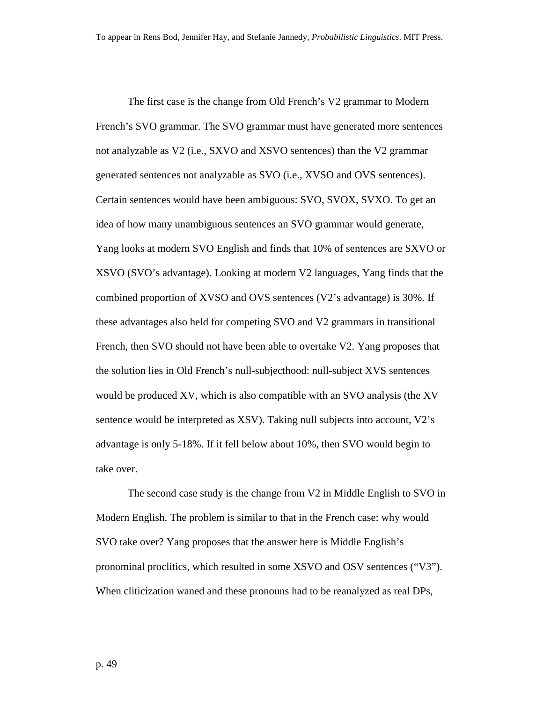The first case is the change from Old French's V2 grammar to Modern French's SVO grammar. The SVO grammar must have generated more sentences not analyzable as V2 (i.e., SXVO and XSVO sentences) than the V2 grammar generated sentences not analyzable as SVO (i.e., XVSO and OVS sentences). Certain sentences would have been ambiguous: SVO, SVOX, SVXO. To get an idea of how many unambiguous sentences an SVO grammar would generate, Yang looks at modern SVO English and finds that 10% of sentences are SXVO or XSVO (SVO's advantage). Looking at modern V2 languages, Yang finds that the combined proportion of XVSO and OVS sentences (V2's advantage) is 30%. If these advantages also held for competing SVO and V2 grammars in transitional French, then SVO should not have been able to overtake V2. Yang proposes that the solution lies in Old French's null-subjecthood: null-subject XVS sentences would be produced XV, which is also compatible with an SVO analysis (the XV sentence would be interpreted as XSV). Taking null subjects into account, V2's advantage is only 5-18%. If it fell below about 10%, then SVO would begin to take over.

The second case study is the change from V2 in Middle English to SVO in Modern English. The problem is similar to that in the French case: why would SVO take over? Yang proposes that the answer here is Middle English's pronominal proclitics, which resulted in some XSVO and OSV sentences ("V3"). When cliticization waned and these pronouns had to be reanalyzed as real DPs,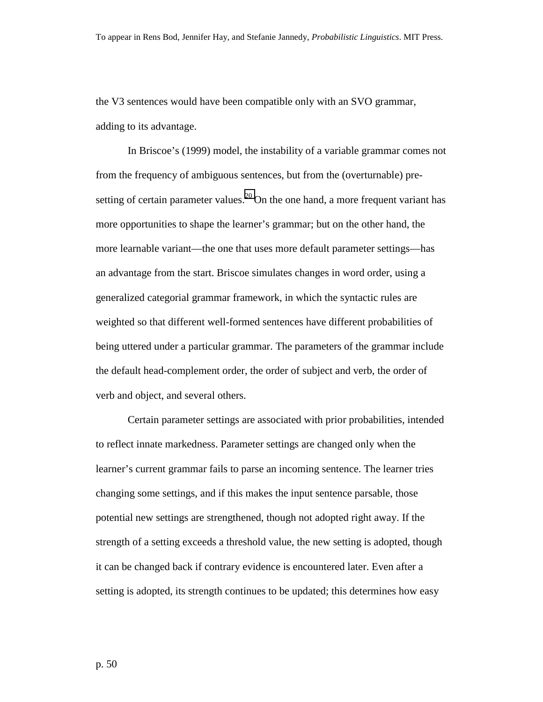the V3 sentences would have been compatible only with an SVO grammar, adding to its advantage.

In Briscoe's (1999) model, the instability of a variable grammar comes not from the frequency of ambiguous sentences, but from the (overturnable) presetting of certain parameter values.<sup>20</sup> On the one hand, a more frequent variant has more opportunities to shape the learner's grammar; but on the other hand, the more learnable variant—the one that uses more default parameter settings—has an advantage from the start. Briscoe simulates changes in word order, using a generalized categorial grammar framework, in which the syntactic rules are weighted so that different well-formed sentences have different probabilities of being uttered under a particular grammar. The parameters of the grammar include the default head-complement order, the order of subject and verb, the order of verb and object, and several others.

Certain parameter settings are associated with prior probabilities, intended to reflect innate markedness. Parameter settings are changed only when the learner's current grammar fails to parse an incoming sentence. The learner tries changing some settings, and if this makes the input sentence parsable, those potential new settings are strengthened, though not adopted right away. If the strength of a setting exceeds a threshold value, the new setting is adopted, though it can be changed back if contrary evidence is encountered later. Even after a setting is adopted, its strength continues to be updated; this determines how easy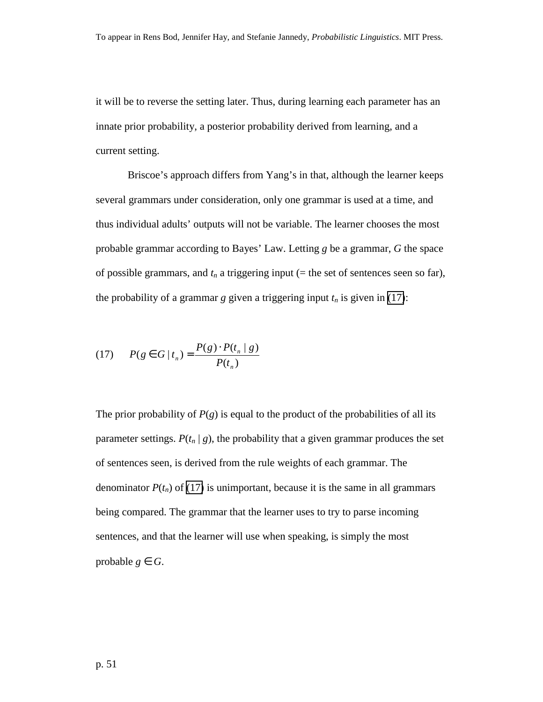it will be to reverse the setting later. Thus, during learning each parameter has an innate prior probability, a posterior probability derived from learning, and a current setting.

Briscoe's approach differs from Yang's in that, although the learner keeps several grammars under consideration, only one grammar is used at a time, and thus individual adults' outputs will not be variable. The learner chooses the most probable grammar according to Bayes' Law. Letting *g* be a grammar, *G* the space of possible grammars, and  $t_n$  a triggering input ( $=$  the set of sentences seen so far), the probability of a grammar *g* given a triggering input  $t_n$  is given in (17):

(17) 
$$
P(g \in G | t_n) = \frac{P(g) \cdot P(t_n | g)}{P(t_n)}
$$

The prior probability of  $P(g)$  is equal to the product of the probabilities of all its parameter settings.  $P(t_n | g)$ , the probability that a given grammar produces the set of sentences seen, is derived from the rule weights of each grammar. The denominator  $P(t_n)$  of (17) is unimportant, because it is the same in all grammars being compared. The grammar that the learner uses to try to parse incoming sentences, and that the learner will use when speaking, is simply the most probable  $g \in G$ .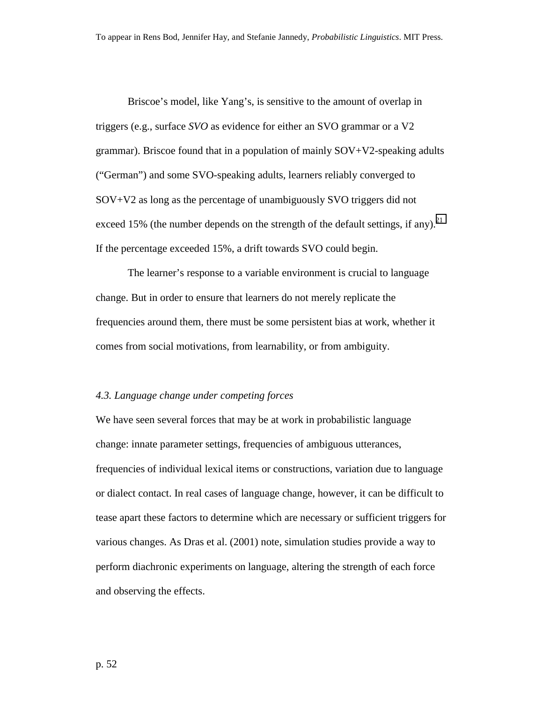Briscoe's model, like Yang's, is sensitive to the amount of overlap in triggers (e.g., surface *SVO* as evidence for either an SVO grammar or a V2 grammar). Briscoe found that in a population of mainly SOV+V2-speaking adults ("German") and some SVO-speaking adults, learners reliably converged to SOV+V2 as long as the percentage of unambiguously SVO triggers did not exceed 15% (the number depends on the strength of the default settings, if any).<sup>[21](#page-70-0)</sup> If the percentage exceeded 15%, a drift towards SVO could begin.

The learner's response to a variable environment is crucial to language change. But in order to ensure that learners do not merely replicate the frequencies around them, there must be some persistent bias at work, whether it comes from social motivations, from learnability, or from ambiguity.

#### *4.3. Language change under competing forces*

We have seen several forces that may be at work in probabilistic language change: innate parameter settings, frequencies of ambiguous utterances, frequencies of individual lexical items or constructions, variation due to language or dialect contact. In real cases of language change, however, it can be difficult to tease apart these factors to determine which are necessary or sufficient triggers for various changes. As Dras et al. (2001) note, simulation studies provide a way to perform diachronic experiments on language, altering the strength of each force and observing the effects.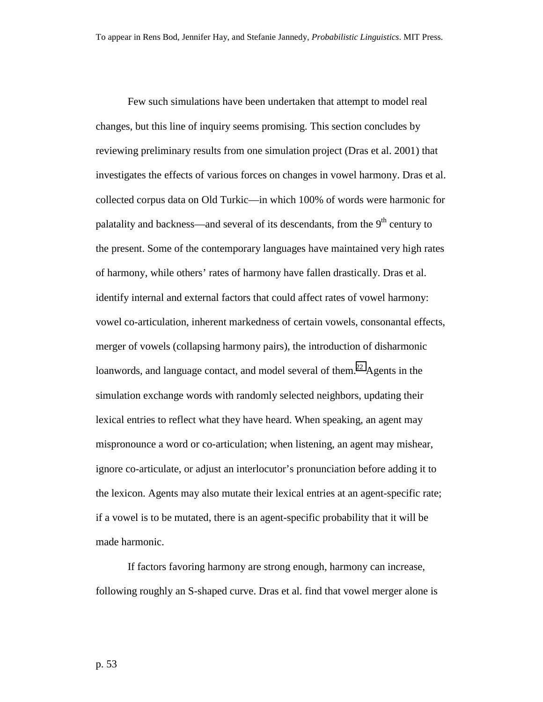Few such simulations have been undertaken that attempt to model real changes, but this line of inquiry seems promising. This section concludes by reviewing preliminary results from one simulation project (Dras et al. 2001) that investigates the effects of various forces on changes in vowel harmony. Dras et al. collected corpus data on Old Turkic—in which 100% of words were harmonic for palatality and backness—and several of its descendants, from the  $9<sup>th</sup>$  century to the present. Some of the contemporary languages have maintained very high rates of harmony, while others' rates of harmony have fallen drastically. Dras et al. identify internal and external factors that could affect rates of vowel harmony: vowel co-articulation, inherent markedness of certain vowels, consonantal effects, merger of vowels (collapsing harmony pairs), the introduction of disharmonic loanwords, and language contact, and model several of them.<sup>22</sup> Agents in the simulation exchange words with randomly selected neighbors, updating their lexical entries to reflect what they have heard. When speaking, an agent may mispronounce a word or co-articulation; when listening, an agent may mishear, ignore co-articulate, or adjust an interlocutor's pronunciation before adding it to the lexicon. Agents may also mutate their lexical entries at an agent-specific rate; if a vowel is to be mutated, there is an agent-specific probability that it will be made harmonic.

 If factors favoring harmony are strong enough, harmony can increase, following roughly an S-shaped curve. Dras et al. find that vowel merger alone is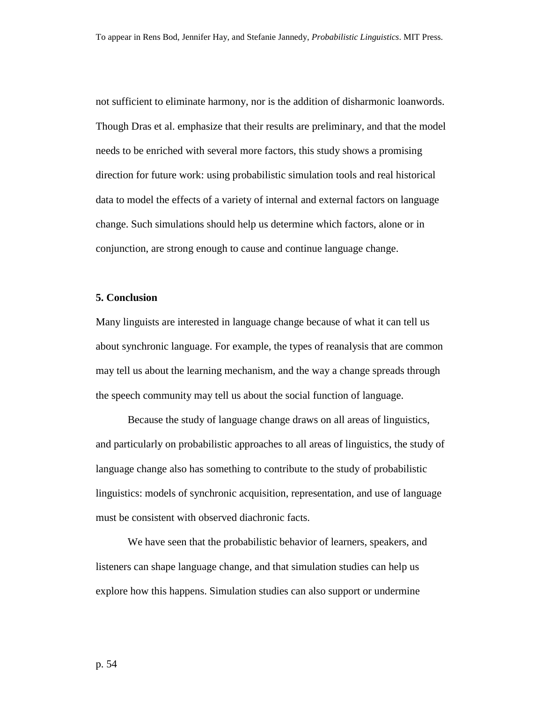not sufficient to eliminate harmony, nor is the addition of disharmonic loanwords. Though Dras et al. emphasize that their results are preliminary, and that the model needs to be enriched with several more factors, this study shows a promising direction for future work: using probabilistic simulation tools and real historical data to model the effects of a variety of internal and external factors on language change. Such simulations should help us determine which factors, alone or in conjunction, are strong enough to cause and continue language change.

#### **5. Conclusion**

Many linguists are interested in language change because of what it can tell us about synchronic language. For example, the types of reanalysis that are common may tell us about the learning mechanism, and the way a change spreads through the speech community may tell us about the social function of language.

Because the study of language change draws on all areas of linguistics, and particularly on probabilistic approaches to all areas of linguistics, the study of language change also has something to contribute to the study of probabilistic linguistics: models of synchronic acquisition, representation, and use of language must be consistent with observed diachronic facts.

We have seen that the probabilistic behavior of learners, speakers, and listeners can shape language change, and that simulation studies can help us explore how this happens. Simulation studies can also support or undermine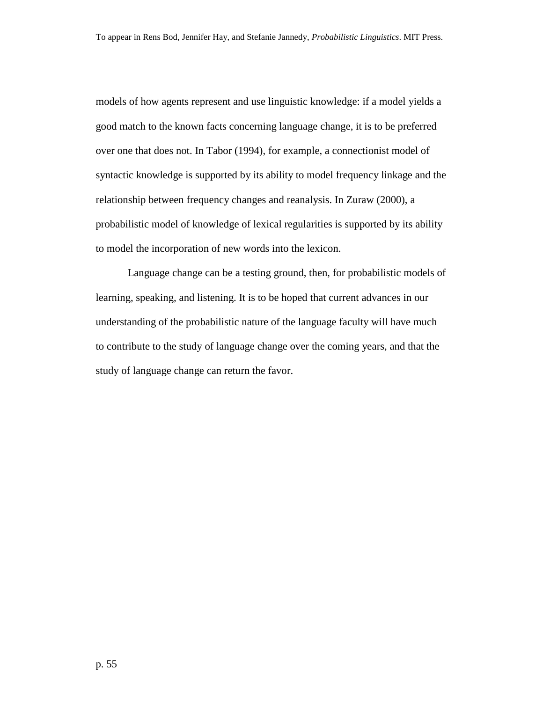models of how agents represent and use linguistic knowledge: if a model yields a good match to the known facts concerning language change, it is to be preferred over one that does not. In Tabor (1994), for example, a connectionist model of syntactic knowledge is supported by its ability to model frequency linkage and the relationship between frequency changes and reanalysis. In Zuraw (2000), a probabilistic model of knowledge of lexical regularities is supported by its ability to model the incorporation of new words into the lexicon.

Language change can be a testing ground, then, for probabilistic models of learning, speaking, and listening. It is to be hoped that current advances in our understanding of the probabilistic nature of the language faculty will have much to contribute to the study of language change over the coming years, and that the study of language change can return the favor.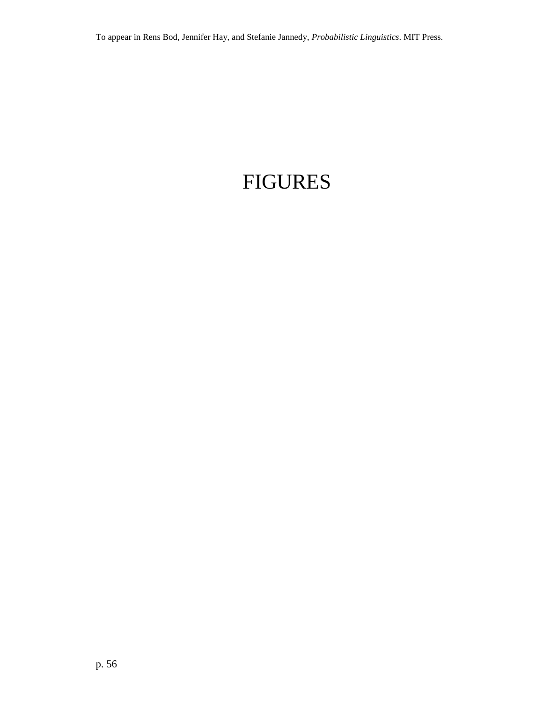# FIGURES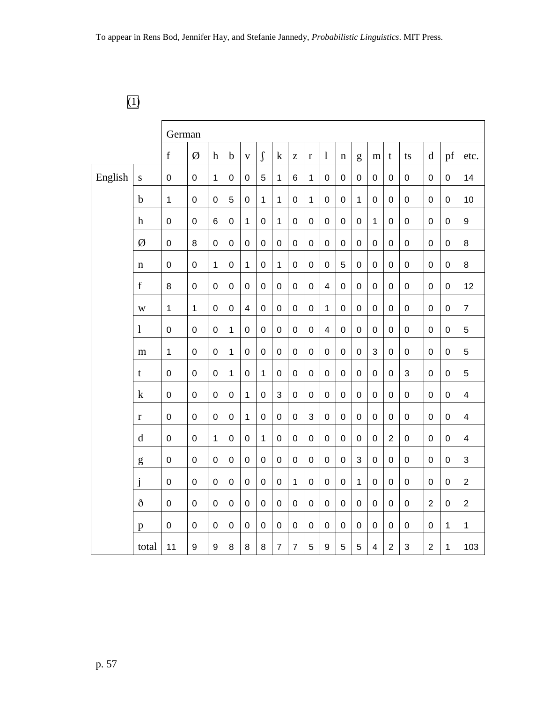# [\(1\)](#page-6-0)

|         |                         | German<br>$\int$<br>$\mathbf f$<br>Ø<br>$\operatorname{pf}$<br>$\mathbf b$<br>$\mathbf{l}$<br>$\mathbf h$<br>$\mathbf k$<br>$\mathbf d$<br>$\mathbf t$<br>etc.<br>$\mathbf{V}$<br>$\rm{Z}$<br>$\mathbf r$<br>g<br>ts<br>$\mathbf n$<br>m<br>$\mathbf 0$<br>$\mathbf{1}$<br>5<br>$\,6$<br>$\mathbf{1}$<br>$\pmb{0}$<br>$\pmb{0}$<br>$\mathsf 0$<br>$\mathsf 0$<br>$\pmb{0}$<br>14<br>$\pmb{0}$<br>$\pmb{0}$<br>$\pmb{0}$<br>$\mathbf{1}$<br>0<br>$\pmb{0}$<br>$\boldsymbol{0}$ |                  |                |                |                         |                  |                |                |                  |                         |             |                  |                  |                |                  |                  |                  |                         |
|---------|-------------------------|-------------------------------------------------------------------------------------------------------------------------------------------------------------------------------------------------------------------------------------------------------------------------------------------------------------------------------------------------------------------------------------------------------------------------------------------------------------------------------|------------------|----------------|----------------|-------------------------|------------------|----------------|----------------|------------------|-------------------------|-------------|------------------|------------------|----------------|------------------|------------------|------------------|-------------------------|
|         |                         |                                                                                                                                                                                                                                                                                                                                                                                                                                                                               |                  |                |                |                         |                  |                |                |                  |                         |             |                  |                  |                |                  |                  |                  |                         |
| English | ${\bf S}$               |                                                                                                                                                                                                                                                                                                                                                                                                                                                                               |                  |                |                |                         |                  |                |                |                  |                         |             |                  |                  |                |                  |                  |                  |                         |
|         | $\mathbf b$             | $\mathbf 1$                                                                                                                                                                                                                                                                                                                                                                                                                                                                   | $\overline{0}$   | $\overline{0}$ | $\overline{5}$ | $\mathbf 0$             | $\mathbf{1}$     | $\mathbf{1}$   | $\pmb{0}$      | $\mathbf{1}$     | $\pmb{0}$               | $\mathbf 0$ | $\mathbf{1}$     | $\mathbf 0$      | $\mathbf 0$    | $\mathsf 0$      | $\mathbf 0$      | $\mathsf 0$      | 10                      |
|         | $\boldsymbol{\text{h}}$ | $\mathbf 0$                                                                                                                                                                                                                                                                                                                                                                                                                                                                   | $\mathbf 0$      | 6              | $\mathbf 0$    | $\mathbf{1}$            | $\mathbf 0$      | $\mathbf{1}$   | $\mathbf 0$    | $\mathbf 0$      | 0                       | $\mathbf 0$ | 0                | $\mathbf{1}$     | 0              | $\mathbf 0$      | 0                | $\mathbf 0$      | 9                       |
|         | Ø                       | $\mathbf 0$                                                                                                                                                                                                                                                                                                                                                                                                                                                                   | 8                | $\overline{0}$ | $\mathbf 0$    | $\boldsymbol{0}$        | $\mathbf 0$      | $\pmb{0}$      | $\mathbf 0$    | $\boldsymbol{0}$ | $\pmb{0}$               | $\pmb{0}$   | 0                | $\mathbf 0$      | $\mathsf 0$    | 0                | $\mathbf 0$      | $\pmb{0}$        | 8                       |
|         | $\mathbf n$             | $\mathbf 0$                                                                                                                                                                                                                                                                                                                                                                                                                                                                   | $\mathbf 0$      | $\mathbf 1$    | $\mathbf 0$    | 1                       | $\mathsf 0$      | $\mathbf{1}$   | $\mathbf 0$    | $\mathsf 0$      | $\pmb{0}$               | 5           | 0                | $\mathsf 0$      | $\mathsf 0$    | $\mathsf 0$      | $\mathsf 0$      | $\mathsf 0$      | 8                       |
|         | $\mathbf f$             | 8                                                                                                                                                                                                                                                                                                                                                                                                                                                                             | $\mathbf 0$      | $\overline{0}$ | $\mathbf 0$    | $\mathbf 0$             | $\mathbf 0$      | $\mathbf 0$    | $\mathbf 0$    | $\mathbf 0$      | $\overline{\mathbf{4}}$ | $\mathbf 0$ | 0                | $\mathbf 0$      | $\mathbf 0$    | $\mathbf 0$      | $\mathbf 0$      | $\pmb{0}$        | 12                      |
|         | W                       | 1                                                                                                                                                                                                                                                                                                                                                                                                                                                                             | $\mathbf{1}$     | $\overline{0}$ | $\mathbf 0$    | $\overline{\mathbf{4}}$ | $\mathbf 0$      | $\pmb{0}$      | $\mathbf 0$    | $\mathbf 0$      | $\mathbf{1}$            | $\pmb{0}$   | 0                | $\mathbf 0$      | $\mathbf 0$    | $\boldsymbol{0}$ | $\pmb{0}$        | $\pmb{0}$        | $\overline{7}$          |
|         | $\mathbf{l}$            | $\mathbf 0$                                                                                                                                                                                                                                                                                                                                                                                                                                                                   | $\mathbf 0$      | $\overline{0}$ | $\mathbf{1}$   | $\mathbf 0$             | $\mathbf 0$      | $\mathbf 0$    | $\mathbf 0$    | $\overline{0}$   | $\overline{\mathbf{4}}$ | $\mathbf 0$ | 0                | $\mathbf 0$      | $\mathbf 0$    | $\mathsf 0$      | $\mathbf 0$      | $\mathbf 0$      | 5                       |
|         | m                       | $\mathbf 1$                                                                                                                                                                                                                                                                                                                                                                                                                                                                   | $\overline{0}$   | $\overline{0}$ | $\mathbf{1}$   | $\pmb{0}$               | $\mathbf 0$      | $\pmb{0}$      | $\pmb{0}$      | $\mathsf 0$      | 0                       | $\pmb{0}$   | $\boldsymbol{0}$ | 3                | $\pmb{0}$      | $\pmb{0}$        | $\boldsymbol{0}$ | $\pmb{0}$        | 5                       |
|         | t                       | $\mathbf 0$                                                                                                                                                                                                                                                                                                                                                                                                                                                                   | $\overline{0}$   | $\overline{0}$ | $\mathbf{1}$   | $\mathbf 0$             | $\mathbf{1}$     | $\pmb{0}$      | $\pmb{0}$      | $\mathbf 0$      | $\pmb{0}$               | $\pmb{0}$   | $\mathbf 0$      | $\mathbf 0$      | $\mathbf 0$    | 3                | $\mathbf 0$      | $\mathbf 0$      | 5                       |
|         | $\mathbf k$             | $\pmb{0}$                                                                                                                                                                                                                                                                                                                                                                                                                                                                     | $\mathbf 0$      | $\overline{0}$ | $\mathbf 0$    | $\mathbf{1}$            | $\boldsymbol{0}$ | 3              | $\pmb{0}$      | $\mathbf 0$      | $\mathbf 0$             | $\mathbf 0$ | 0                | 0                | $\mathbf 0$    | $\mathsf 0$      | 0                | $\mathbf 0$      | $\overline{\mathbf{4}}$ |
|         | $\bf r$                 | $\mathbf 0$                                                                                                                                                                                                                                                                                                                                                                                                                                                                   | $\mathbf 0$      | $\mathbf 0$    | $\mathbf 0$    | 1                       | $\boldsymbol{0}$ | $\pmb{0}$      | $\mathbf 0$    | 3                | $\boldsymbol{0}$        | $\pmb{0}$   | 0                | 0                | 0              | 0                | $\boldsymbol{0}$ | $\pmb{0}$        | $\overline{\mathbf{4}}$ |
|         | d                       | $\mathbf 0$                                                                                                                                                                                                                                                                                                                                                                                                                                                                   | $\mathbf 0$      | $\mathbf 1$    | $\pmb{0}$      | $\pmb{0}$               | 1                | $\mathbf 0$    | $\pmb{0}$      | $\mathsf 0$      | $\pmb{0}$               | $\pmb{0}$   | 0                | $\mathsf 0$      | $\overline{2}$ | $\mathsf 0$      | $\mathsf 0$      | $\mathsf 0$      | $\overline{\mathbf{4}}$ |
|         | g                       | $\mathbf 0$                                                                                                                                                                                                                                                                                                                                                                                                                                                                   | $\overline{0}$   | $\overline{0}$ | $\mathbf 0$    | $\mathbf 0$             | $\mathbf 0$      | $\mathbf 0$    | $\mathbf 0$    | $\mathbf 0$      | $\mathbf 0$             | $\mathbf 0$ | 3                | $\mathbf 0$      | $\mathbf 0$    | $\mathsf 0$      | $\mathbf 0$      | $\mathsf 0$      | 3                       |
|         | j                       | $\pmb{0}$                                                                                                                                                                                                                                                                                                                                                                                                                                                                     | $\boldsymbol{0}$ | $\mathbf 0$    | $\pmb{0}$      | $\pmb{0}$               | $\mathsf 0$      | $\pmb{0}$      | $\mathbf{1}$   | $\mathsf 0$      | 0                       | $\pmb{0}$   | $\mathbf{1}$     | $\boldsymbol{0}$ | $\pmb{0}$      | $\mathsf 0$      | $\boldsymbol{0}$ | $\pmb{0}$        | $\overline{2}$          |
|         | ð                       | $\mathbf 0$                                                                                                                                                                                                                                                                                                                                                                                                                                                                   | $\mathbf 0$      | $\overline{0}$ | $\mathbf 0$    | $\mathbf 0$             | $\mathbf 0$      | $\mathbf 0$    | $\mathbf 0$    | $\overline{0}$   | 0                       | $\pmb{0}$   | 0                | $\mathbf 0$      | $\mathbf 0$    | $\mathsf 0$      | $\overline{2}$   | $\boldsymbol{0}$ | $\overline{2}$          |
|         | p                       | $\mathbf 0$                                                                                                                                                                                                                                                                                                                                                                                                                                                                   | $\mathbf 0$      | $\overline{0}$ | $\mathbf 0$    | $\pmb{0}$               | $\mathsf 0$      | $\mathbf 0$    | $\mathbf 0$    | $\mathsf 0$      | $\mathbf 0$             | $\pmb{0}$   | 0                | $\mathsf 0$      | $\pmb{0}$      | 0                | 0                | $\mathbf{1}$     | $\mathbf{1}$            |
|         | total                   | 11                                                                                                                                                                                                                                                                                                                                                                                                                                                                            | 9                | 9              | 8              | 8                       | 8                | $\overline{7}$ | $\overline{7}$ | 5                | 9                       | 5           | 5                | 4                | $\overline{2}$ | 3                | $\overline{2}$   | 1                | 103                     |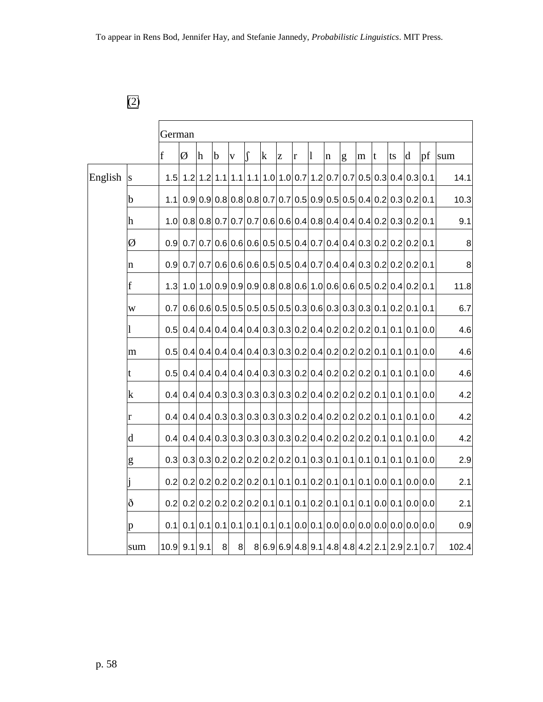# [\(2\)](#page-6-0)

|         |     | German           |   |           |                |                         |        |   |   |   |   |   |                                                               |   |    |    |                                                                                                                               |     |                  |
|---------|-----|------------------|---|-----------|----------------|-------------------------|--------|---|---|---|---|---|---------------------------------------------------------------|---|----|----|-------------------------------------------------------------------------------------------------------------------------------|-----|------------------|
|         |     | $\mathbf f$      | Ø | h         | $\mathbf b$    | $\overline{\mathbf{V}}$ | $\int$ | k | Z | r | 1 | n | g                                                             | m | lt | ts | d                                                                                                                             | pf  | sum              |
| English | S   | 1.5              |   |           |                |                         |        |   |   |   |   |   |                                                               |   |    |    | $1.2$   $1.2$   $1.1$   $1.1$   $1.1$   $1.0$   $1.0$   $0.7$   $1.2$   $0.7$   $0.7$   $0.5$   $0.3$   $0.4$   $0.3$   $0.1$ |     | 14.1             |
|         | b   | 1.1              |   |           |                |                         |        |   |   |   |   |   |                                                               |   |    |    | $0.9 0.9 0.8 0.8 0.8 0.7 0.7 0.5 0.9 0.5 0.5 0.4 0.2 0.3 0.2 0.1$                                                             |     | 10.3             |
|         | h   | 1.OI             |   |           |                |                         |        |   |   |   |   |   |                                                               |   |    |    | $0.8 0.8 0.7 0.7 0.7 0.6 0.6 0.4 0.8 0.4 0.4 0.4 0.2 0.3 0.2 0.1$                                                             |     | 9.1              |
|         | Ø   | 0.9              |   |           |                |                         |        |   |   |   |   |   |                                                               |   |    |    | $0.7 0.7 0.6 0.6 0.6 0.5 0.5 0.4 0.7 0.4 0.4 0.3 0.2 0.2 0.2 0.1$                                                             |     | 8                |
|         | n   | 0.9              |   |           |                |                         |        |   |   |   |   |   |                                                               |   |    |    | $0.7 0.7 0.6 0.6 0.6 0.5 0.5 0.4 0.7 0.4 0.4 0.3 0.2 0.2 0.2 0.1$                                                             |     | $\boldsymbol{8}$ |
|         | f   | 1.3              |   |           |                |                         |        |   |   |   |   |   |                                                               |   |    |    | $1.0 1.0 0.9 0.9 0.9 0.8 0.8 0.6 1.0 0.6 0.6 0.5 0.2 0.4 0.2 0.1$                                                             |     | 11.8             |
|         | W   | 0.7 <sub>l</sub> |   |           |                |                         |        |   |   |   |   |   |                                                               |   |    |    | $0.6 0.6 0.5 0.5 0.5 0.5 0.5 0.3 0.6 0.3 0.3 0.3 0.1 0.2 0.1 0.1$                                                             |     | 6.7              |
|         |     | 0.5              |   |           |                |                         |        |   |   |   |   |   |                                                               |   |    |    | $0.4 0.4 0.4 0.4 0.4 0.3 0.3 0.2 0.4 0.2 0.2 0.2 0.1 0.1 0.1 0.0$                                                             |     | 4.6              |
|         | m   | 0.5              |   |           |                |                         |        |   |   |   |   |   |                                                               |   |    |    | $0.4 0.4 0.4 0.4 0.4 0.3 0.3 0.2 0.4 0.2 0.2 0.2 0.1 0.1 0.1 0.0$                                                             |     | 4.6              |
|         | t   | 0.5              |   |           |                |                         |        |   |   |   |   |   |                                                               |   |    |    | $0.4 0.4 0.4 0.4 0.4 0.3 0.3 0.2 0.4 0.2 0.2 0.2 0.1 0.1 0.1 0.0$                                                             |     | 4.6              |
|         | k   | 0.41             |   |           |                |                         |        |   |   |   |   |   |                                                               |   |    |    | $0.4 0.4 0.3 0.3 0.3 0.3 0.3 0.2 0.4 0.2 0.2 0.2 0.1 0.1 0.1 0.0$                                                             |     | 4.2              |
|         | r   | 0.4              |   |           |                |                         |        |   |   |   |   |   |                                                               |   |    |    | $0.4 0.4 0.3 0.3 0.3 0.3 0.3 0.2 0.4 0.2 0.2 0.2 0.1 0.1 0.1 0.0$                                                             |     | 4.2              |
|         | d   | 0.4              |   |           |                |                         |        |   |   |   |   |   |                                                               |   |    |    | $0.4 0.4 0.3 0.3 0.3 0.3 0.3 0.2 0.4 0.2 0.2 0.2 0.1 0.1 0.1 0.0$                                                             |     | 4.2              |
|         | g   | 0.3              |   |           |                |                         |        |   |   |   |   |   | $0.3 0.3 0.2 0.2 0.2 0.2 0.2 0.1 0.3 0.1 0.1 0.1 0.1 0.1 0.1$ |   |    |    |                                                                                                                               | 0.0 | 2.9              |
|         |     | 0.2 <sub>l</sub> |   |           |                |                         |        |   |   |   |   |   |                                                               |   |    |    | $0.2 0.2 0.2 0.2 0.2 0.1 0.1 0.1 0.2 0.1 0.1 0.1 0.0 0.1 0.0 0.0$                                                             |     | 2.1              |
|         | ð   | 0.2              |   |           |                |                         |        |   |   |   |   |   |                                                               |   |    |    | $0.2 0.2 0.2 0.2 0.2 0.1 0.1 0.1 0.2 0.1 0.1 0.1 0.0 0.1 0.0 0.0$                                                             |     | 2.1              |
|         | p   | 0.1              |   |           |                |                         |        |   |   |   |   |   |                                                               |   |    |    |                                                                                                                               |     | 0.9              |
|         | sum | 10.9             |   | $9.1$ 9.1 | 8 <sup>1</sup> | 8                       |        |   |   |   |   |   |                                                               |   |    |    | $8 6.9 6.9 4.8 9.1 4.8 4.8 4.2 2.1 2.9 2.1 0.7$                                                                               |     | 102.4            |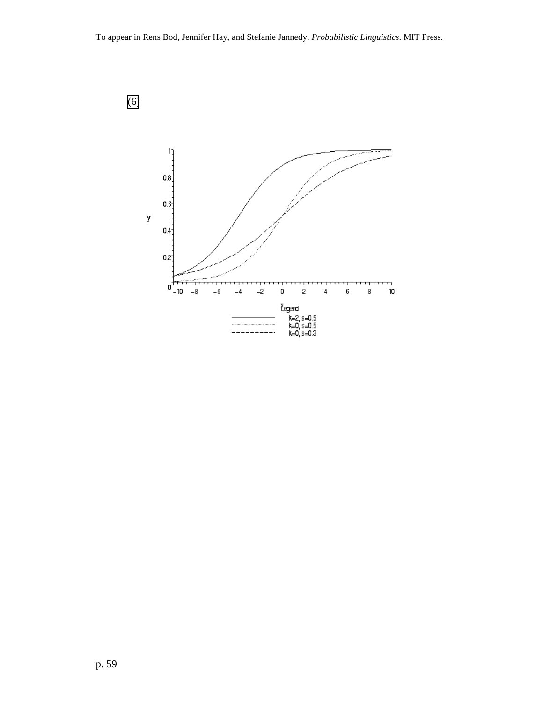

[\(6\)](#page-13-0)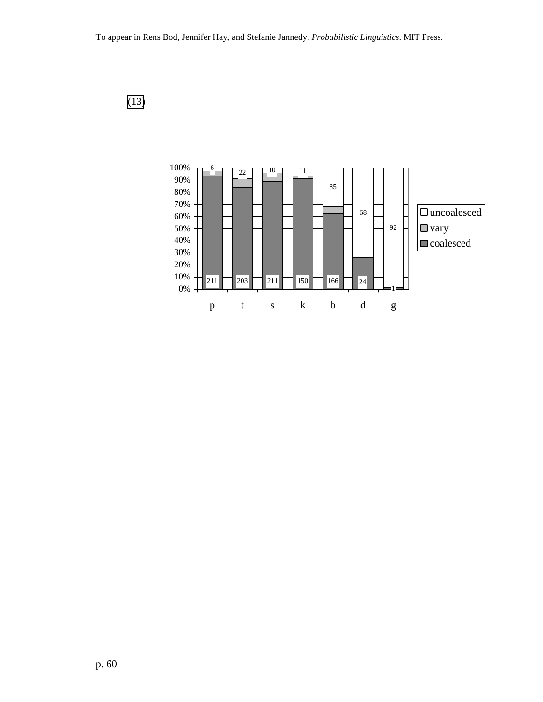

[\(13\)](#page-39-0)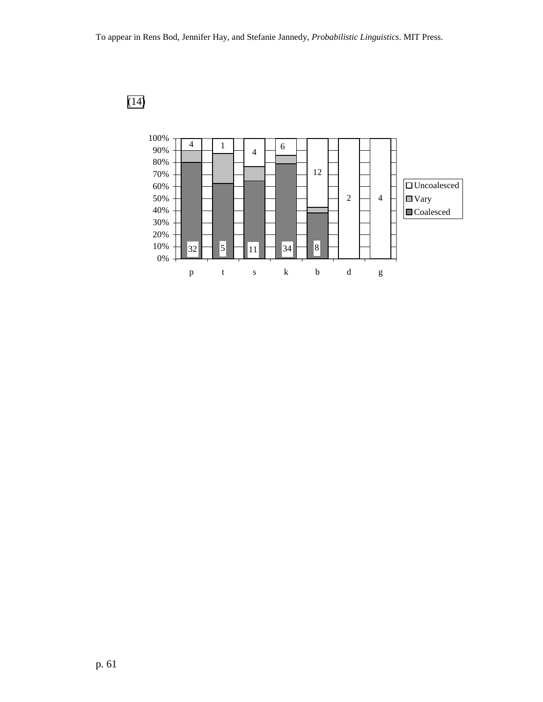

[\(14](#page-41-0)**)**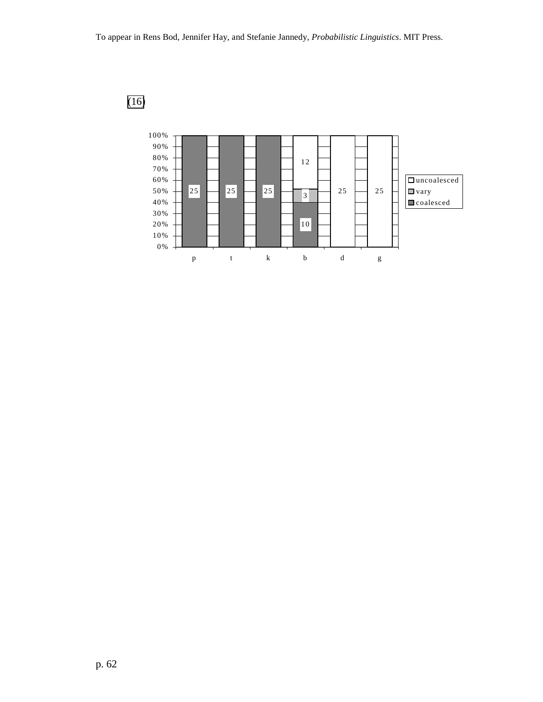

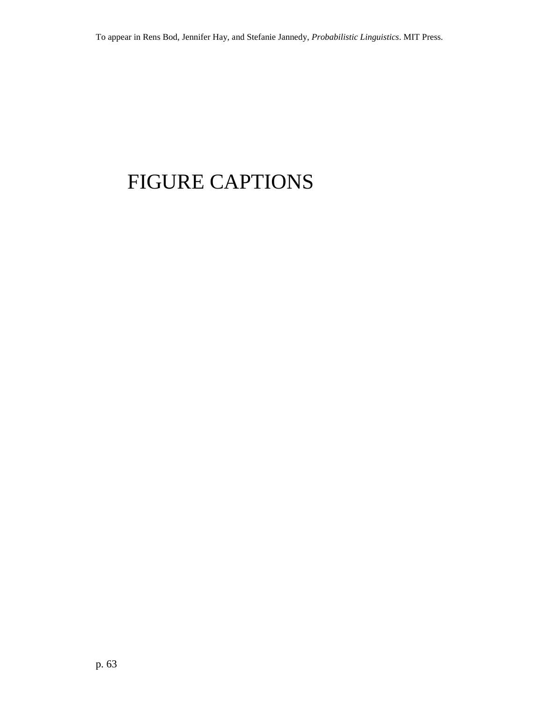# FIGURE CAPTIONS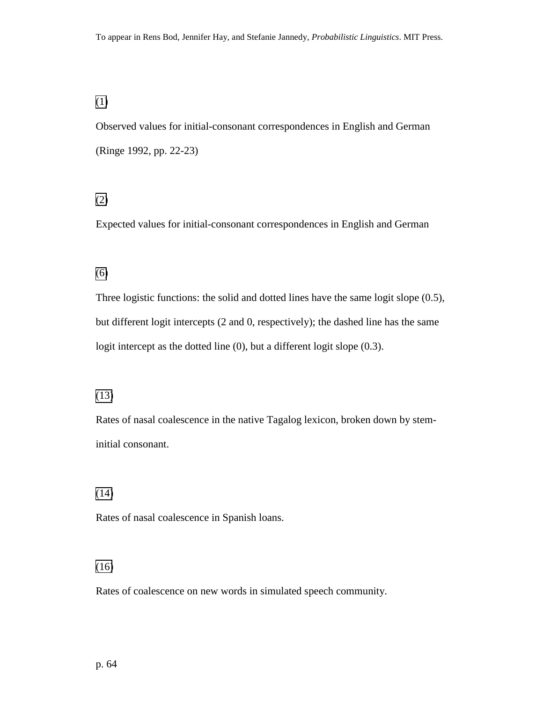### [\(1\)](#page-6-0)

Observed values for initial-consonant correspondences in English and German (Ringe 1992, pp. 22-23)

## [\(2\)](#page-6-0)

Expected values for initial-consonant correspondences in English and German

### [\(6\)](#page-13-0)

Three logistic functions: the solid and dotted lines have the same logit slope (0.5), but different logit intercepts (2 and 0, respectively); the dashed line has the same logit intercept as the dotted line (0), but a different logit slope (0.3).

#### [\(13\)](#page-39-0)

Rates of nasal coalescence in the native Tagalog lexicon, broken down by steminitial consonant.

#### [\(14\)](#page-41-0)

Rates of nasal coalescence in Spanish loans.

## [\(16\)](#page-44-0)

Rates of coalescence on new words in simulated speech community.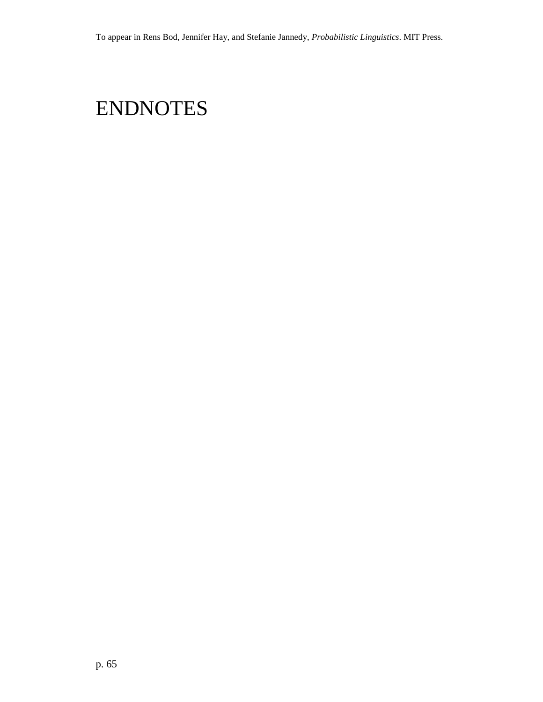# ENDNOTES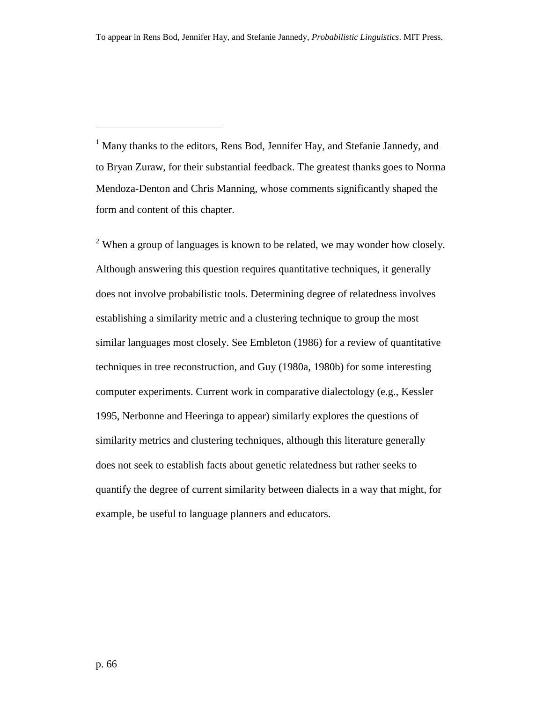<sup>1</sup> Many thanks to the editors, Rens Bod, Jennifer Hay, and Stefanie Jannedy, and to Bryan Zuraw, for their substantial feedback. The greatest thanks goes to Norma Mendoza-Denton and Chris Manning, whose comments significantly shaped the form and content of this chapter.

 $2$  When a group of languages is known to be related, we may wonder how closely. Although answering this question requires quantitative techniques, it generally does not involve probabilistic tools. Determining degree of relatedness involves establishing a similarity metric and a clustering technique to group the most similar languages most closely. See Embleton (1986) for a review of quantitative techniques in tree reconstruction, and Guy (1980a, 1980b) for some interesting computer experiments. Current work in comparative dialectology (e.g., Kessler 1995, Nerbonne and Heeringa to appear) similarly explores the questions of similarity metrics and clustering techniques, although this literature generally does not seek to establish facts about genetic relatedness but rather seeks to quantify the degree of current similarity between dialects in a way that might, for example, be useful to language planners and educators.

 $\overline{a}$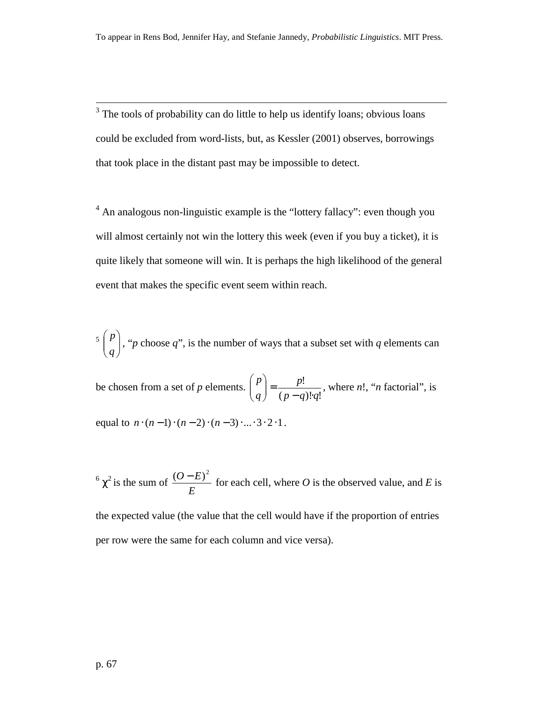<sup>3</sup> The tools of probability can do little to help us identify loans; obvious loans could be excluded from word-lists, but, as Kessler (2001) observes, borrowings that took place in the distant past may be impossible to detect.

 $4$  An analogous non-linguistic example is the "lottery fallacy": even though you will almost certainly not win the lottery this week (even if you buy a ticket), it is quite likely that someone will win. It is perhaps the high likelihood of the general event that makes the specific event seem within reach.

 $\left\lceil \frac{P}{a} \right\rceil$ J  $\setminus$  $\overline{\phantom{a}}$  $\setminus$ ſ *q*  $p$ , "*p* choose *q*", is the number of ways that a subset set with *q* elements can

be chosen from a set of *p* elements.  $(p - q)! q!$ !  $p - q$ *)*!*q p q p*  $=\frac{P^{2}}{(p-q)!}$ J  $\setminus$  $\overline{\phantom{a}}$  $\setminus$  $\binom{p}{n} = \frac{p!}{(p-1)!}$ , where *n*!, "*n* factorial", is

equal to  $n \cdot (n-1) \cdot (n-2) \cdot (n-3) \cdot ... \cdot 3 \cdot 2 \cdot 1$ .

 $6 \chi^2$  is the sum of *E*  $\frac{(O-E)^2}{I}$  for each cell, where *O* is the observed value, and *E* is the expected value (the value that the cell would have if the proportion of entries per row were the same for each column and vice versa).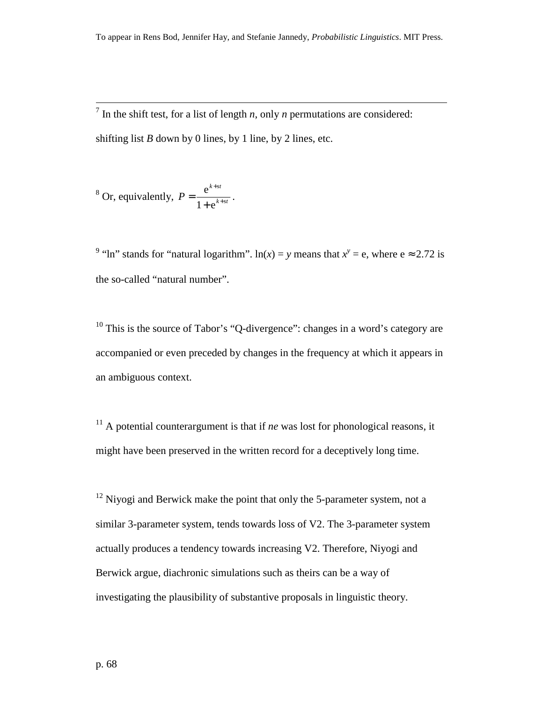$\frac{1}{7}$  In the shift test, for a list of length *n*, only *n* permutations are considered: shifting list *B* down by 0 lines, by 1 line, by 2 lines, etc.

<sup>8</sup> Or, equivalently, 
$$
P = \frac{e^{k+st}}{1+e^{k+st}}.
$$

<sup>9</sup> "ln" stands for "natural logarithm". ln(*x*) = *y* means that  $x^y = e$ , where  $e \approx 2.72$  is the so-called "natural number".

 $10$  This is the source of Tabor's "Q-divergence": changes in a word's category are accompanied or even preceded by changes in the frequency at which it appears in an ambiguous context.

<sup>11</sup> A potential counterargument is that if *ne* was lost for phonological reasons, it might have been preserved in the written record for a deceptively long time.

 $12$  Niyogi and Berwick make the point that only the 5-parameter system, not a similar 3-parameter system, tends towards loss of V2. The 3-parameter system actually produces a tendency towards increasing V2. Therefore, Niyogi and Berwick argue, diachronic simulations such as theirs can be a way of investigating the plausibility of substantive proposals in linguistic theory.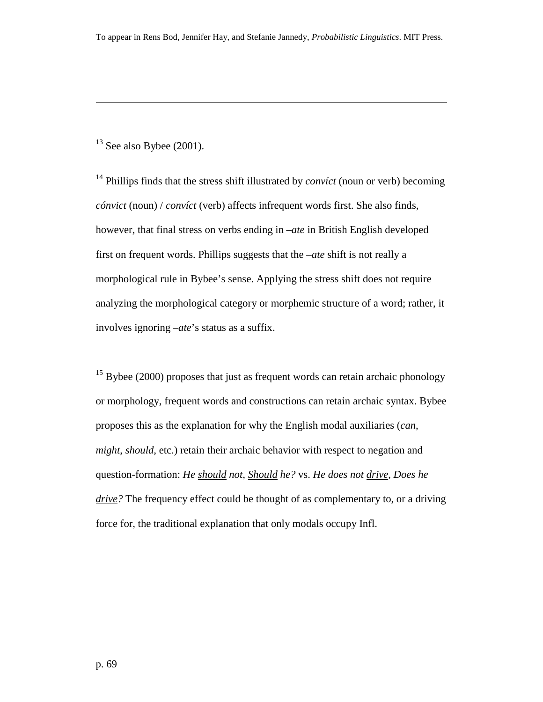$13$  See also Bybee (2001).

<sup>14</sup> Phillips finds that the stress shift illustrated by *convíct* (noun or verb) becoming *cónvict* (noun) / *convíct* (verb) affects infrequent words first. She also finds, however, that final stress on verbs ending in *–ate* in British English developed first on frequent words. Phillips suggests that the *–ate* shift is not really a morphological rule in Bybee's sense. Applying the stress shift does not require analyzing the morphological category or morphemic structure of a word; rather, it involves ignoring *–ate*'s status as a suffix.

 $15$  Bybee (2000) proposes that just as frequent words can retain archaic phonology or morphology, frequent words and constructions can retain archaic syntax. Bybee proposes this as the explanation for why the English modal auxiliaries (*can*, *might*, *should*, etc.) retain their archaic behavior with respect to negation and question-formation: *He should not, Should he?* vs. *He does not drive*, *Does he drive?* The frequency effect could be thought of as complementary to, or a driving force for, the traditional explanation that only modals occupy Infl.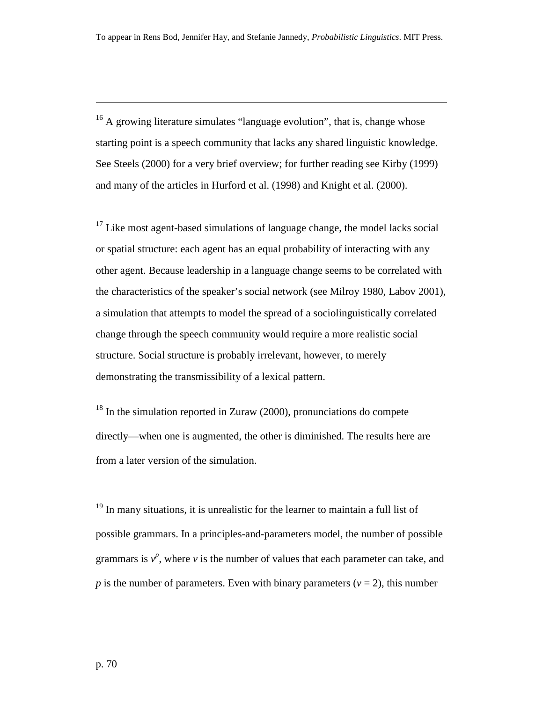<sup>16</sup> A growing literature simulates "language evolution", that is, change whose starting point is a speech community that lacks any shared linguistic knowledge. See Steels (2000) for a very brief overview; for further reading see Kirby (1999) and many of the articles in Hurford et al. (1998) and Knight et al. (2000).

 $17$  Like most agent-based simulations of language change, the model lacks social or spatial structure: each agent has an equal probability of interacting with any other agent. Because leadership in a language change seems to be correlated with the characteristics of the speaker's social network (see Milroy 1980, Labov 2001), a simulation that attempts to model the spread of a sociolinguistically correlated change through the speech community would require a more realistic social structure. Social structure is probably irrelevant, however, to merely demonstrating the transmissibility of a lexical pattern.

<sup>18</sup> In the simulation reported in Zuraw (2000), pronunciations do compete directly—when one is augmented, the other is diminished. The results here are from a later version of the simulation.

<sup>19</sup> In many situations, it is unrealistic for the learner to maintain a full list of possible grammars. In a principles-and-parameters model, the number of possible grammars is  $v^p$ , where  $v$  is the number of values that each parameter can take, and *p* is the number of parameters. Even with binary parameters ( $v = 2$ ), this number